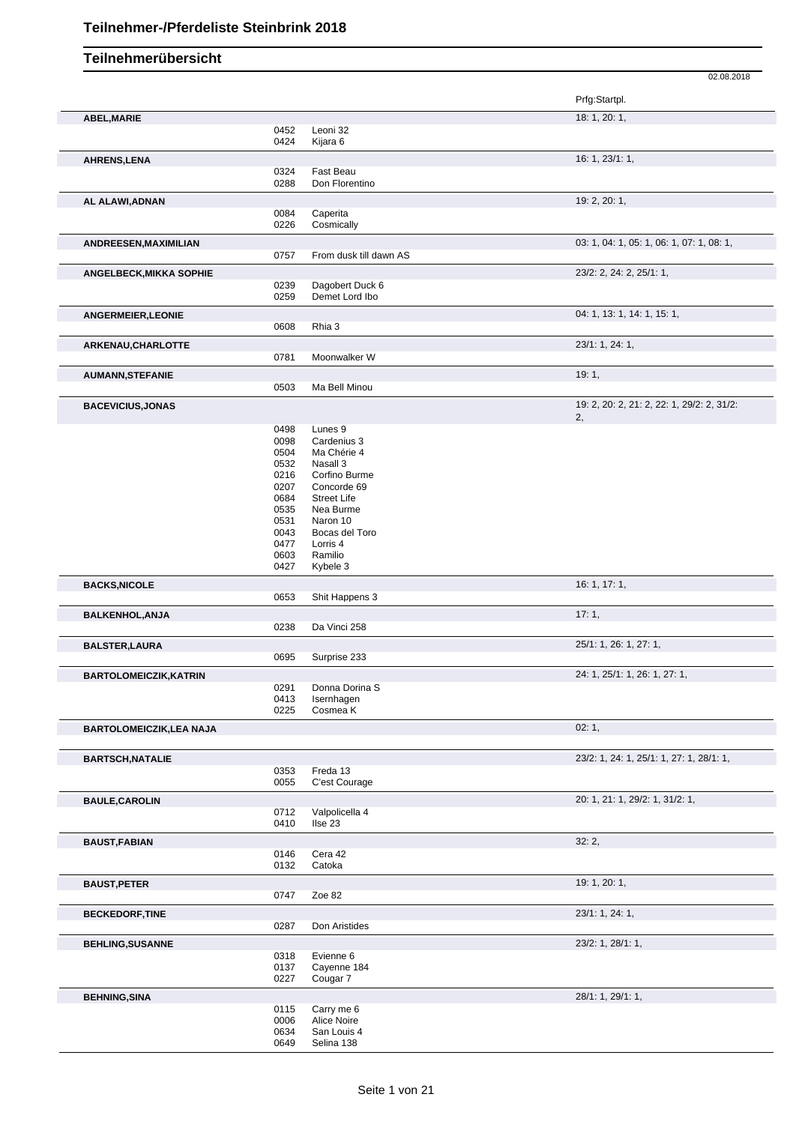|                                |              |                              | 02.08.2018                                 |
|--------------------------------|--------------|------------------------------|--------------------------------------------|
|                                |              |                              | Prfg:Startpl.                              |
| ABEL, MARIE                    |              |                              | 18: 1, 20: 1,                              |
|                                | 0452         | Leoni 32                     |                                            |
|                                | 0424         | Kijara 6                     |                                            |
| AHRENS, LENA                   |              |                              | 16: 1, 23/1: 1,                            |
|                                | 0324<br>0288 | Fast Beau<br>Don Florentino  |                                            |
|                                |              |                              |                                            |
| AL ALAWI, ADNAN                | 0084         | Caperita                     | 19: 2, 20: 1,                              |
|                                | 0226         | Cosmically                   |                                            |
| ANDREESEN, MAXIMILIAN          |              |                              | 03: 1, 04: 1, 05: 1, 06: 1, 07: 1, 08: 1,  |
|                                | 0757         | From dusk till dawn AS       |                                            |
| ANGELBECK, MIKKA SOPHIE        |              |                              | 23/2: 2, 24: 2, 25/1: 1,                   |
|                                | 0239         | Dagobert Duck 6              |                                            |
|                                | 0259         | Demet Lord Ibo               |                                            |
| ANGERMEIER, LEONIE             |              |                              | 04: 1, 13: 1, 14: 1, 15: 1,                |
|                                | 0608         | Rhia 3                       |                                            |
| ARKENAU, CHARLOTTE             |              |                              | 23/1: 1, 24: 1,                            |
|                                | 0781         | Moonwalker W                 |                                            |
| <b>AUMANN, STEFANIE</b>        |              |                              | 19:1,                                      |
|                                | 0503         | Ma Bell Minou                |                                            |
| <b>BACEVICIUS, JONAS</b>       |              |                              | 19: 2, 20: 2, 21: 2, 22: 1, 29/2: 2, 31/2: |
|                                |              |                              | 2,                                         |
|                                | 0498         | Lunes 9                      |                                            |
|                                | 0098<br>0504 | Cardenius 3<br>Ma Chérie 4   |                                            |
|                                | 0532         | Nasall 3                     |                                            |
|                                | 0216         | Corfino Burme                |                                            |
|                                | 0207         | Concorde 69                  |                                            |
|                                | 0684         | <b>Street Life</b>           |                                            |
|                                | 0535         | Nea Burme                    |                                            |
|                                | 0531         | Naron 10                     |                                            |
|                                | 0043         | Bocas del Toro               |                                            |
|                                | 0477         | Lorris 4                     |                                            |
|                                | 0603<br>0427 | Ramilio<br>Kybele 3          |                                            |
|                                |              |                              |                                            |
| <b>BACKS, NICOLE</b>           | 0653         | Shit Happens 3               | 16: 1, 17: 1,                              |
|                                |              |                              |                                            |
| <b>BALKENHOL, ANJA</b>         | 0238         | Da Vinci 258                 | 17:1,                                      |
|                                |              |                              |                                            |
| <b>BALSTER, LAURA</b>          |              | Surprise 233                 | 25/1: 1, 26: 1, 27: 1,                     |
|                                | 0695         |                              |                                            |
| <b>BARTOLOMEICZIK, KATRIN</b>  |              |                              | 24: 1, 25/1: 1, 26: 1, 27: 1,              |
|                                | 0291<br>0413 | Donna Dorina S<br>Isernhagen |                                            |
|                                | 0225         | Cosmea K                     |                                            |
| <b>BARTOLOMEICZIK,LEA NAJA</b> |              |                              | 02:1,                                      |
|                                |              |                              |                                            |
| <b>BARTSCH, NATALIE</b>        |              |                              | 23/2: 1, 24: 1, 25/1: 1, 27: 1, 28/1: 1,   |
|                                | 0353         | Freda 13                     |                                            |
|                                | 0055         | C'est Courage                |                                            |
| <b>BAULE, CAROLIN</b>          |              |                              | 20: 1, 21: 1, 29/2: 1, 31/2: 1,            |
|                                | 0712         | Valpolicella 4               |                                            |
|                                | 0410         | Ilse 23                      |                                            |
| <b>BAUST, FABIAN</b>           |              |                              | 32:2,                                      |
|                                | 0146         | Cera 42                      |                                            |
|                                | 0132         | Catoka                       |                                            |
| <b>BAUST, PETER</b>            |              |                              | 19: 1, 20: 1,                              |
|                                | 0747         | Zoe 82                       |                                            |
| <b>BECKEDORF,TINE</b>          |              |                              | 23/1: 1, 24: 1,                            |
|                                | 0287         | Don Aristides                |                                            |
| <b>BEHLING, SUSANNE</b>        |              |                              | 23/2: 1, 28/1: 1,                          |
|                                | 0318         | Evienne 6                    |                                            |
|                                | 0137         | Cayenne 184                  |                                            |
|                                | 0227         | Cougar 7                     |                                            |
| <b>BEHNING, SINA</b>           |              |                              | 28/1: 1, 29/1: 1,                          |
|                                | 0115         | Carry me 6                   |                                            |
|                                | 0006         | Alice Noire                  |                                            |
|                                | 0634         | San Louis 4                  |                                            |
|                                | 0649         | Selina 138                   |                                            |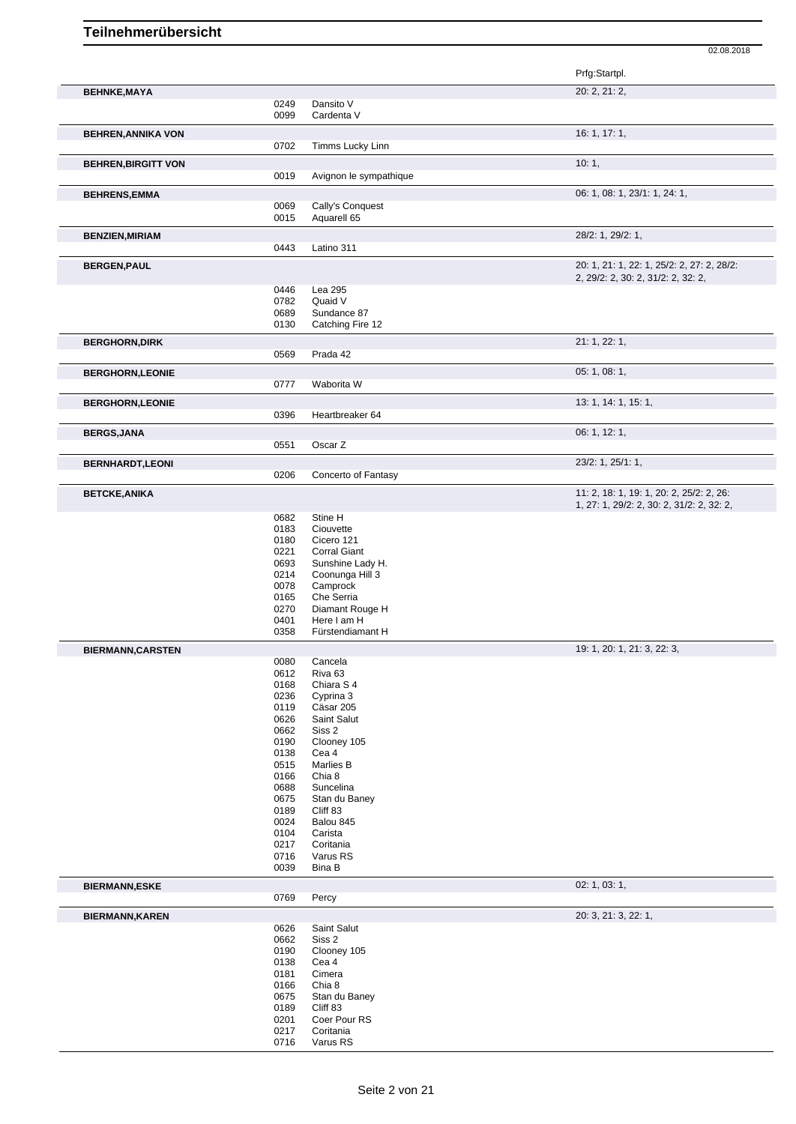|                            |              |                                     | 02.08.2018                                                                       |
|----------------------------|--------------|-------------------------------------|----------------------------------------------------------------------------------|
|                            |              |                                     | Prfg:Startpl.                                                                    |
| <b>BEHNKE, MAYA</b>        |              |                                     | 20: 2, 21: 2,                                                                    |
|                            | 0249         | Dansito V                           |                                                                                  |
|                            | 0099         | Cardenta V                          |                                                                                  |
| <b>BEHREN, ANNIKA VON</b>  |              |                                     | 16: 1, 17: 1,                                                                    |
|                            | 0702         | Timms Lucky Linn                    |                                                                                  |
| <b>BEHREN, BIRGITT VON</b> |              |                                     | 10:1,                                                                            |
|                            | 0019         | Avignon le sympathique              |                                                                                  |
|                            |              |                                     | 06: 1, 08: 1, 23/1: 1, 24: 1,                                                    |
| <b>BEHRENS, EMMA</b>       | 0069         | Cally's Conquest                    |                                                                                  |
|                            | 0015         | Aquarell 65                         |                                                                                  |
|                            |              |                                     | 28/2: 1, 29/2: 1,                                                                |
| <b>BENZIEN, MIRIAM</b>     | 0443         | Latino 311                          |                                                                                  |
|                            |              |                                     |                                                                                  |
| <b>BERGEN, PAUL</b>        |              |                                     | 20: 1, 21: 1, 22: 1, 25/2: 2, 27: 2, 28/2:<br>2, 29/2: 2, 30: 2, 31/2: 2, 32: 2, |
|                            | 0446         | Lea 295                             |                                                                                  |
|                            | 0782         | Quaid V                             |                                                                                  |
|                            | 0689         | Sundance 87                         |                                                                                  |
|                            | 0130         | Catching Fire 12                    |                                                                                  |
| <b>BERGHORN, DIRK</b>      |              |                                     | 21: 1, 22: 1,                                                                    |
|                            | 0569         | Prada 42                            |                                                                                  |
| <b>BERGHORN,LEONIE</b>     |              |                                     | 05: 1, 08: 1,                                                                    |
|                            | 0777         | Waborita W                          |                                                                                  |
|                            |              |                                     |                                                                                  |
| <b>BERGHORN,LEONIE</b>     | 0396         | Heartbreaker 64                     | 13: 1, 14: 1, 15: 1,                                                             |
|                            |              |                                     |                                                                                  |
| <b>BERGS, JANA</b>         |              |                                     | 06: 1, 12: 1,                                                                    |
|                            | 0551         | Oscar Z                             |                                                                                  |
| <b>BERNHARDT,LEONI</b>     |              |                                     | 23/2: 1, 25/1: 1,                                                                |
|                            | 0206         | Concerto of Fantasy                 |                                                                                  |
| <b>BETCKE, ANIKA</b>       |              |                                     | 11: 2, 18: 1, 19: 1, 20: 2, 25/2: 2, 26:                                         |
|                            |              |                                     | 1, 27: 1, 29/2: 2, 30: 2, 31/2: 2, 32: 2,                                        |
|                            | 0682         | Stine H                             |                                                                                  |
|                            | 0183         | Ciouvette                           |                                                                                  |
|                            | 0180         | Cicero 121                          |                                                                                  |
|                            | 0221<br>0693 | <b>Corral Giant</b>                 |                                                                                  |
|                            | 0214         | Sunshine Lady H.<br>Coonunga Hill 3 |                                                                                  |
|                            | 0078         | Camprock                            |                                                                                  |
|                            | 0165         | Che Serria                          |                                                                                  |
|                            | 0270         | Diamant Rouge H                     |                                                                                  |
|                            | 0401         | Here I am H                         |                                                                                  |
|                            | 0358         | Fürstendiamant H                    |                                                                                  |
| <b>BIERMANN,CARSTEN</b>    |              |                                     | 19: 1, 20: 1, 21: 3, 22: 3,                                                      |
|                            | 0080         | Cancela                             |                                                                                  |
|                            | 0612         | Riva <sub>63</sub>                  |                                                                                  |
|                            | 0168         | Chiara S 4                          |                                                                                  |
|                            | 0236         | Cyprina 3                           |                                                                                  |
|                            | 0119         | Cäsar 205                           |                                                                                  |
|                            | 0626         | Saint Salut                         |                                                                                  |
|                            | 0662<br>0190 | Siss 2<br>Clooney 105               |                                                                                  |
|                            | 0138         | Cea 4                               |                                                                                  |
|                            | 0515         | Marlies B                           |                                                                                  |
|                            | 0166         | Chia 8                              |                                                                                  |
|                            | 0688         | Suncelina                           |                                                                                  |
|                            | 0675         | Stan du Baney                       |                                                                                  |
|                            | 0189         | Cliff 83                            |                                                                                  |
|                            |              |                                     |                                                                                  |
|                            | 0024         | Balou 845                           |                                                                                  |
|                            | 0104         | Carista                             |                                                                                  |
|                            | 0217         | Coritania                           |                                                                                  |
|                            | 0716<br>0039 | Varus RS<br>Bina B                  |                                                                                  |

|                        | 0039                                                                                 | Bina B                                                                                                                                  |                      |
|------------------------|--------------------------------------------------------------------------------------|-----------------------------------------------------------------------------------------------------------------------------------------|----------------------|
| <b>BIERMANN,ESKE</b>   |                                                                                      |                                                                                                                                         | 02: 1, 03: 1,        |
|                        | 0769                                                                                 | Percy                                                                                                                                   |                      |
| <b>BIERMANN, KAREN</b> |                                                                                      |                                                                                                                                         | 20: 3, 21: 3, 22: 1, |
|                        | 0626<br>0662<br>0190<br>0138<br>0181<br>0166<br>0675<br>0189<br>0201<br>0217<br>0716 | Saint Salut<br>Siss 2<br>Clooney 105<br>Cea 4<br>Cimera<br>Chia 8<br>Stan du Baney<br>Cliff 83<br>Coer Pour RS<br>Coritania<br>Varus RS |                      |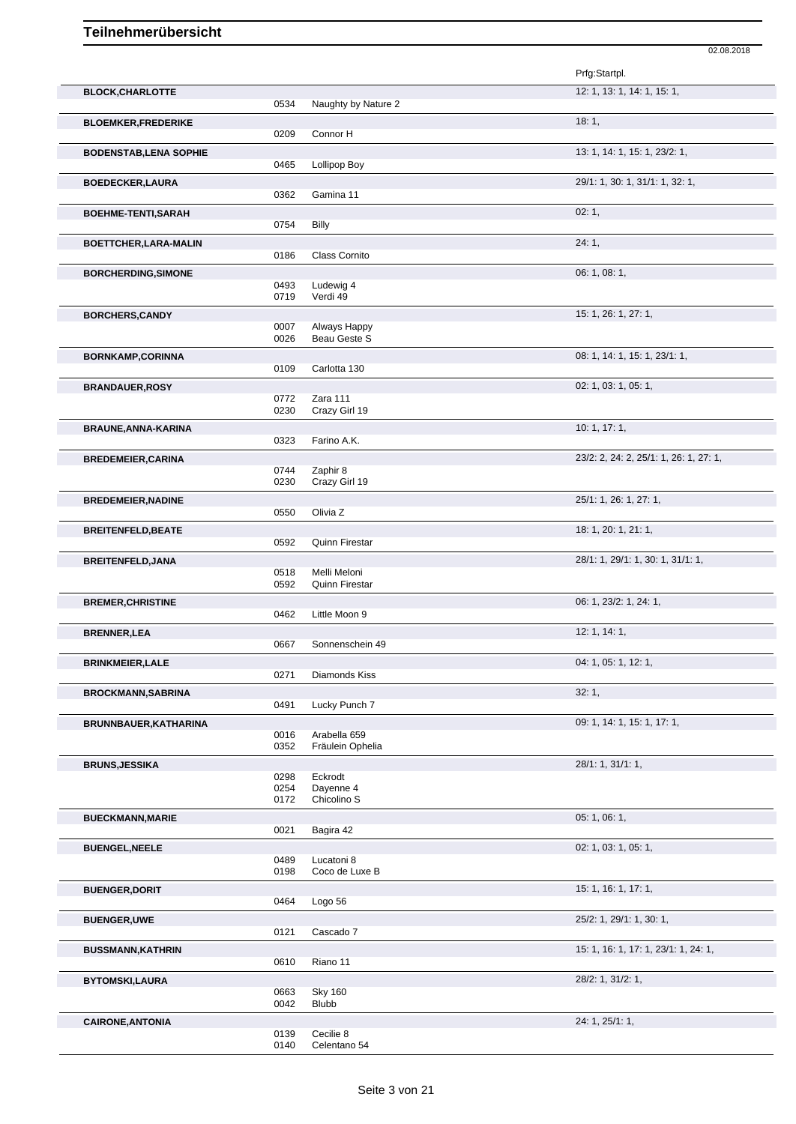|                               |              |                                       | Prfg:Startpl.                          |
|-------------------------------|--------------|---------------------------------------|----------------------------------------|
| <b>BLOCK, CHARLOTTE</b>       |              |                                       | 12: 1, 13: 1, 14: 1, 15: 1,            |
|                               | 0534         | Naughty by Nature 2                   |                                        |
| <b>BLOEMKER,FREDERIKE</b>     |              |                                       | 18:1,                                  |
|                               | 0209         | Connor H                              |                                        |
| <b>BODENSTAB, LENA SOPHIE</b> | 0465         |                                       | 13: 1, 14: 1, 15: 1, 23/2: 1,          |
|                               |              | Lollipop Boy                          |                                        |
| <b>BOEDECKER,LAURA</b>        | 0362         | Gamina 11                             | 29/1: 1, 30: 1, 31/1: 1, 32: 1,        |
|                               |              |                                       | 02:1,                                  |
| <b>BOEHME-TENTI,SARAH</b>     | 0754         | <b>Billy</b>                          |                                        |
|                               |              |                                       | 24:1,                                  |
| BOETTCHER, LARA-MALIN         | 0186         | Class Cornito                         |                                        |
| <b>BORCHERDING, SIMONE</b>    |              |                                       | 06: 1, 08: 1,                          |
|                               | 0493         | Ludewig 4                             |                                        |
|                               | 0719         | Verdi 49                              |                                        |
| <b>BORCHERS,CANDY</b>         |              |                                       | 15: 1, 26: 1, 27: 1,                   |
|                               | 0007<br>0026 | Always Happy<br>Beau Geste S          |                                        |
|                               |              |                                       |                                        |
| <b>BORNKAMP,CORINNA</b>       | 0109         | Carlotta 130                          | 08: 1, 14: 1, 15: 1, 23/1: 1,          |
| <b>BRANDAUER,ROSY</b>         |              |                                       | 02: 1, 03: 1, 05: 1,                   |
|                               | 0772         | Zara 111                              |                                        |
|                               | 0230         | Crazy Girl 19                         |                                        |
| BRAUNE, ANNA-KARINA           |              |                                       | 10: 1, 17: 1,                          |
|                               | 0323         | Farino A.K.                           |                                        |
| <b>BREDEMEIER, CARINA</b>     |              |                                       | 23/2: 2, 24: 2, 25/1: 1, 26: 1, 27: 1, |
|                               | 0744<br>0230 | Zaphir 8<br>Crazy Girl 19             |                                        |
| <b>BREDEMEIER, NADINE</b>     |              |                                       | 25/1: 1, 26: 1, 27: 1,                 |
|                               | 0550         | Olivia Z                              |                                        |
| <b>BREITENFELD, BEATE</b>     |              |                                       | 18: 1, 20: 1, 21: 1,                   |
|                               | 0592         | Quinn Firestar                        |                                        |
| <b>BREITENFELD, JANA</b>      |              |                                       | 28/1: 1, 29/1: 1, 30: 1, 31/1: 1,      |
|                               | 0518<br>0592 | Melli Meloni<br><b>Quinn Firestar</b> |                                        |
| <b>BREMER, CHRISTINE</b>      |              |                                       | 06: 1, 23/2: 1, 24: 1,                 |
|                               | 0462         | Little Moon 9                         |                                        |
| <b>BRENNER, LEA</b>           |              |                                       | 12: 1, 14: 1,                          |
|                               | 0667         | Sonnenschein 49                       |                                        |
| <b>BRINKMEIER, LALE</b>       |              |                                       | 04: 1, 05: 1, 12: 1,                   |
|                               | 0271         | Diamonds Kiss                         |                                        |
| <b>BROCKMANN, SABRINA</b>     |              |                                       | 32:1,                                  |
|                               | 0491         | Lucky Punch 7                         |                                        |
| BRUNNBAUER, KATHARINA         |              |                                       | 09: 1, 14: 1, 15: 1, 17: 1,            |
|                               | 0016<br>0352 | Arabella 659<br>Fräulein Ophelia      |                                        |
| <b>BRUNS, JESSIKA</b>         |              |                                       | 28/1: 1, 31/1: 1,                      |
|                               | 0298         | Eckrodt                               |                                        |
|                               | 0254<br>0172 | Dayenne 4<br>Chicolino S              |                                        |
|                               |              |                                       |                                        |
| <b>BUECKMANN, MARIE</b>       | 0021         | Bagira 42                             | 05: 1, 06: 1,                          |
|                               |              |                                       | 02: 1, 03: 1, 05: 1,                   |
| <b>BUENGEL, NEELE</b>         | 0489         | Lucatoni 8                            |                                        |
|                               | 0198         | Coco de Luxe B                        |                                        |
| <b>BUENGER, DORIT</b>         |              |                                       | 15: 1, 16: 1, 17: 1,                   |
|                               | 0464         | Logo 56                               |                                        |
| <b>BUENGER,UWE</b>            |              |                                       | 25/2: 1, 29/1: 1, 30: 1,               |
|                               | 0121         | Cascado 7                             |                                        |
| <b>BUSSMANN, KATHRIN</b>      | 0610         | Riano 11                              | 15: 1, 16: 1, 17: 1, 23/1: 1, 24: 1,   |
|                               |              |                                       |                                        |
| <b>BYTOMSKI,LAURA</b>         | 0663         | <b>Sky 160</b>                        | 28/2: 1, 31/2: 1,                      |
|                               | 0042         | <b>Blubb</b>                          |                                        |
|                               |              |                                       | 24: 1, 25/1: 1,                        |

02.08.2018

0139 Cecilie 8 0140 Celentano 54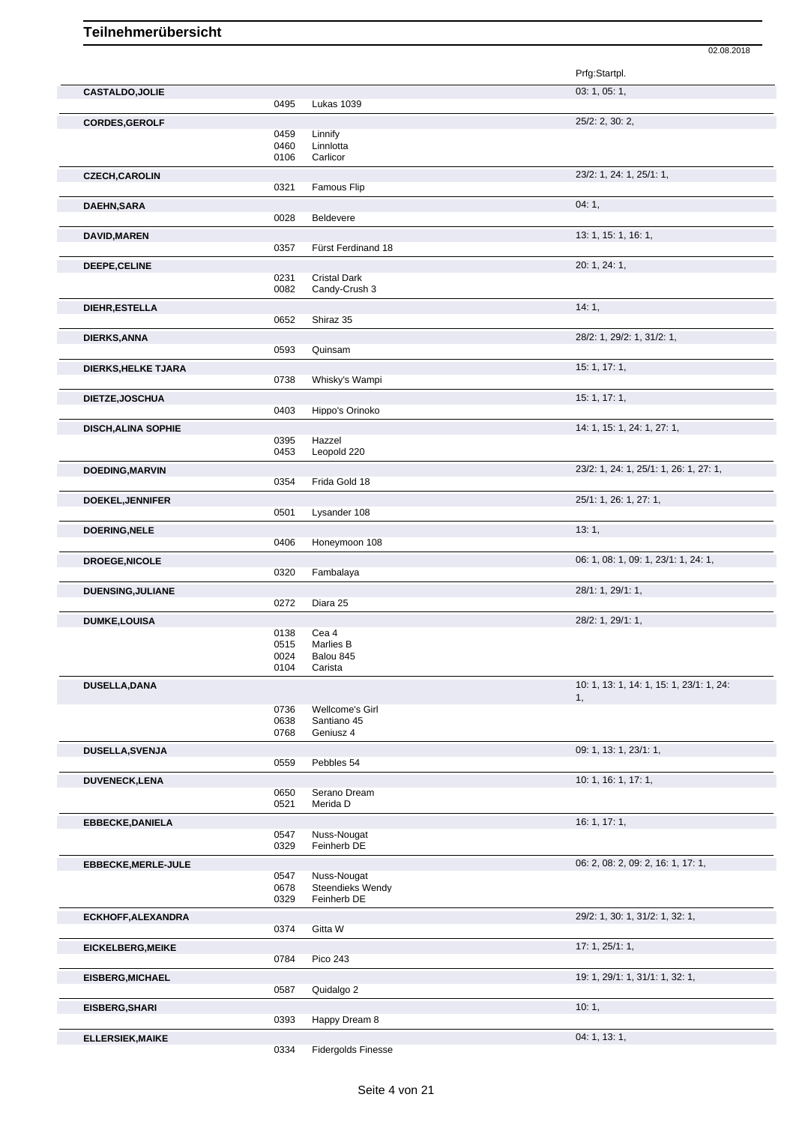|                            |              |                                      | Prfg:Startpl.                            |
|----------------------------|--------------|--------------------------------------|------------------------------------------|
| <b>CASTALDO, JOLIE</b>     |              |                                      | 03: 1, 05: 1,                            |
|                            | 0495         | Lukas 1039                           |                                          |
| <b>CORDES, GEROLF</b>      |              |                                      | 25/2: 2, 30: 2,                          |
|                            | 0459         | Linnify                              |                                          |
|                            | 0460<br>0106 | Linnlotta<br>Carlicor                |                                          |
|                            |              |                                      |                                          |
| <b>CZECH, CAROLIN</b>      |              |                                      | 23/2: 1, 24: 1, 25/1: 1,                 |
|                            | 0321         | Famous Flip                          |                                          |
| <b>DAEHN, SARA</b>         |              |                                      | 04:1,                                    |
|                            | 0028         | Beldevere                            |                                          |
| <b>DAVID, MAREN</b>        |              |                                      | 13: 1, 15: 1, 16: 1,                     |
|                            | 0357         | Fürst Ferdinand 18                   |                                          |
| DEEPE, CELINE              |              |                                      | 20: 1, 24: 1,                            |
|                            | 0231<br>0082 | <b>Cristal Dark</b><br>Candy-Crush 3 |                                          |
|                            |              |                                      |                                          |
| <b>DIEHR, ESTELLA</b>      | 0652         | Shiraz 35                            | 14:1,                                    |
|                            |              |                                      |                                          |
| DIERKS, ANNA               |              |                                      | 28/2: 1, 29/2: 1, 31/2: 1,               |
|                            | 0593         | Quinsam                              |                                          |
| DIERKS, HELKE TJARA        |              |                                      | 15:1, 17:1,                              |
|                            | 0738         | Whisky's Wampi                       |                                          |
| DIETZE, JOSCHUA            |              |                                      | 15:1, 17:1,                              |
|                            | 0403         | Hippo's Orinoko                      |                                          |
| <b>DISCH, ALINA SOPHIE</b> |              |                                      | 14: 1, 15: 1, 24: 1, 27: 1,              |
|                            | 0395         | Hazzel                               |                                          |
|                            | 0453         | Leopold 220                          |                                          |
| <b>DOEDING, MARVIN</b>     |              |                                      | 23/2: 1, 24: 1, 25/1: 1, 26: 1, 27: 1,   |
|                            | 0354         | Frida Gold 18                        |                                          |
| DOEKEL, JENNIFER           |              |                                      | 25/1: 1, 26: 1, 27: 1,                   |
|                            | 0501         | Lysander 108                         |                                          |
| <b>DOERING, NELE</b>       |              |                                      | 13:1,                                    |
|                            | 0406         | Honeymoon 108                        |                                          |
| <b>DROEGE, NICOLE</b>      |              |                                      | 06: 1, 08: 1, 09: 1, 23/1: 1, 24: 1,     |
|                            | 0320         | Fambalaya                            |                                          |
| <b>DUENSING, JULIANE</b>   |              |                                      | 28/1: 1, 29/1: 1,                        |
|                            | 0272         | Diara 25                             |                                          |
| <b>DUMKE,LOUISA</b>        |              |                                      | 28/2: 1, 29/1: 1,                        |
|                            | 0138         | Cea 4                                |                                          |
|                            | 0515<br>0024 | Marlies B                            |                                          |
|                            | 0104         | Balou 845<br>Carista                 |                                          |
|                            |              |                                      | 10: 1, 13: 1, 14: 1, 15: 1, 23/1: 1, 24: |
| <b>DUSELLA, DANA</b>       |              |                                      | 1,                                       |
|                            | 0736         | Wellcome's Girl                      |                                          |
|                            | 0638         | Santiano 45                          |                                          |
|                            | 0768         | Geniusz 4                            |                                          |
| DUSELLA, SVENJA            |              |                                      | 09: 1, 13: 1, 23/1: 1,                   |
|                            | 0559         | Pebbles 54                           |                                          |
| <b>DUVENECK, LENA</b>      |              |                                      | 10: 1, 16: 1, 17: 1,                     |
|                            | 0650         | Serano Dream                         |                                          |
|                            | 0521         | Merida D                             |                                          |
| <b>EBBECKE, DANIELA</b>    |              |                                      | 16:1, 17:1,                              |
|                            | 0547<br>0329 | Nuss-Nougat<br>Feinherb DE           |                                          |
|                            |              |                                      | 06: 2, 08: 2, 09: 2, 16: 1, 17: 1,       |
| <b>EBBECKE, MERLE-JULE</b> | 0547         | Nuss-Nougat                          |                                          |
|                            | 0678         | Steendieks Wendy                     |                                          |
|                            | 0329         | Feinherb DE                          |                                          |
| ECKHOFF, ALEXANDRA         |              |                                      | 29/2: 1, 30: 1, 31/2: 1, 32: 1,          |
|                            | 0374         | Gitta W                              |                                          |
| <b>EICKELBERG, MEIKE</b>   |              |                                      | 17: 1, 25/1: 1,                          |
|                            | 0784         | <b>Pico 243</b>                      |                                          |
| <b>EISBERG, MICHAEL</b>    |              |                                      | 19: 1, 29/1: 1, 31/1: 1, 32: 1,          |
|                            | 0587         | Quidalgo 2                           |                                          |
| EISBERG, SHARI             |              |                                      | 10:1,                                    |
|                            | 0393         | Happy Dream 8                        |                                          |
| <b>ELLERSIEK, MAIKE</b>    |              |                                      | 04: 1, 13: 1,                            |
|                            |              |                                      |                                          |

0334 Fidergolds Finesse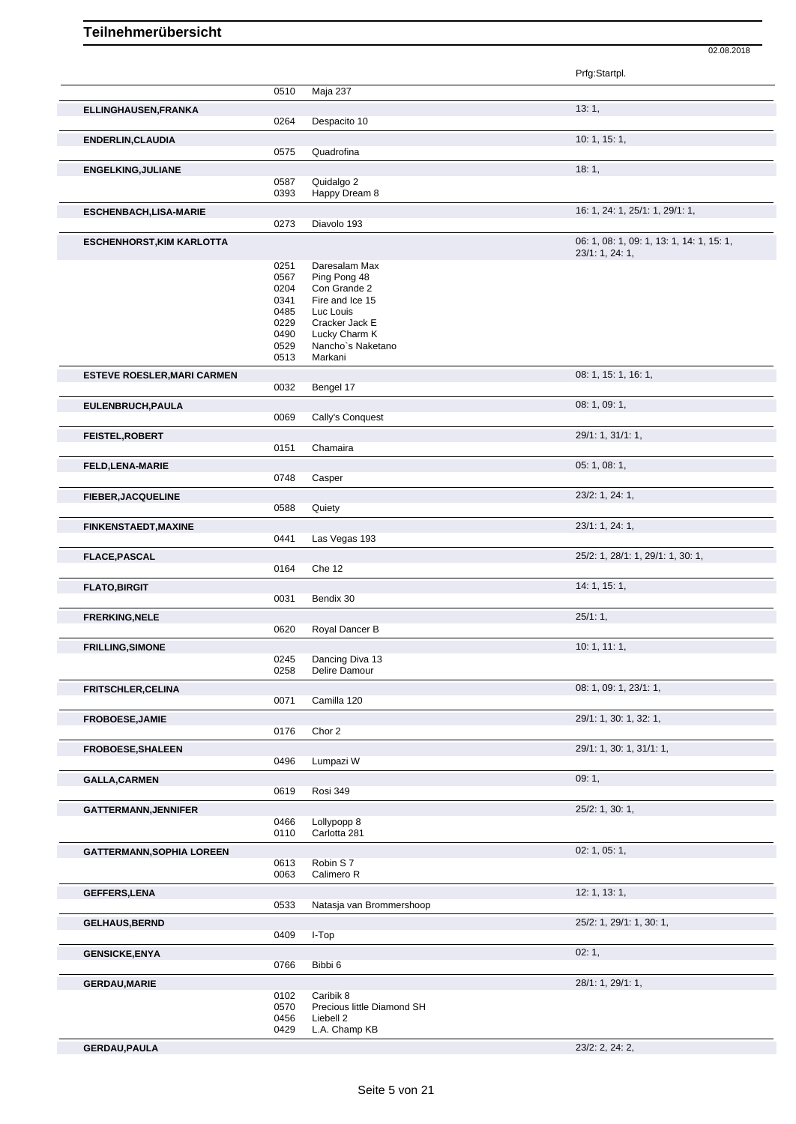|                                    |              |                                         | Prfg:Startpl.                             |
|------------------------------------|--------------|-----------------------------------------|-------------------------------------------|
|                                    | 0510         | Maja 237                                |                                           |
| ELLINGHAUSEN, FRANKA               |              |                                         | 13:1,                                     |
|                                    | 0264         | Despacito 10                            |                                           |
| <b>ENDERLIN, CLAUDIA</b>           | 0575         | Quadrofina                              | 10: 1, 15: 1,                             |
|                                    |              |                                         |                                           |
| <b>ENGELKING, JULIANE</b>          | 0587         | Quidalgo 2                              | 18:1,                                     |
|                                    | 0393         | Happy Dream 8                           |                                           |
| <b>ESCHENBACH,LISA-MARIE</b>       |              |                                         | 16: 1, 24: 1, 25/1: 1, 29/1: 1,           |
|                                    | 0273         | Diavolo 193                             |                                           |
| <b>ESCHENHORST, KIM KARLOTTA</b>   |              |                                         | 06: 1, 08: 1, 09: 1, 13: 1, 14: 1, 15: 1, |
|                                    |              |                                         | 23/1: 1, 24: 1,                           |
|                                    | 0251         | Daresalam Max                           |                                           |
|                                    | 0567<br>0204 | Ping Pong 48<br>Con Grande 2            |                                           |
|                                    | 0341         | Fire and Ice 15                         |                                           |
|                                    | 0485         | Luc Louis                               |                                           |
|                                    | 0229         | Cracker Jack E                          |                                           |
|                                    | 0490<br>0529 | Lucky Charm K<br>Nancho's Naketano      |                                           |
|                                    | 0513         | Markani                                 |                                           |
| <b>ESTEVE ROESLER, MARI CARMEN</b> |              |                                         | 08: 1, 15: 1, 16: 1,                      |
|                                    | 0032         | Bengel 17                               |                                           |
| EULENBRUCH, PAULA                  |              |                                         | 08: 1, 09: 1,                             |
|                                    | 0069         | Cally's Conquest                        |                                           |
| FEISTEL, ROBERT                    |              |                                         | 29/1: 1, 31/1: 1,                         |
|                                    | 0151         | Chamaira                                |                                           |
| <b>FELD,LENA-MARIE</b>             |              |                                         | 05: 1, 08: 1,                             |
|                                    | 0748         | Casper                                  |                                           |
| <b>FIEBER, JACQUELINE</b>          |              |                                         | 23/2: 1, 24: 1,                           |
|                                    | 0588         | Quiety                                  |                                           |
| <b>FINKENSTAEDT, MAXINE</b>        |              |                                         | 23/1: 1, 24: 1,                           |
|                                    | 0441         | Las Vegas 193                           |                                           |
| <b>FLACE, PASCAL</b>               |              |                                         | 25/2: 1, 28/1: 1, 29/1: 1, 30: 1,         |
|                                    | 0164         | Che 12                                  |                                           |
| <b>FLATO, BIRGIT</b>               |              |                                         | 14: 1, 15: 1,                             |
|                                    | 0031         | Bendix 30                               |                                           |
| <b>FRERKING, NELE</b>              |              |                                         | 25/1:1,                                   |
|                                    | 0620         | Royal Dancer B                          |                                           |
| <b>FRILLING, SIMONE</b>            |              |                                         | 10: 1, 11: 1,                             |
|                                    | 0245<br>0258 | Dancing Diva 13<br>Delire Damour        |                                           |
|                                    |              |                                         |                                           |
| <b>FRITSCHLER, CELINA</b>          | 0071         | Camilla 120                             | 08: 1, 09: 1, 23/1: 1,                    |
|                                    |              |                                         |                                           |
| <b>FROBOESE, JAMIE</b>             | 0176         | Chor 2                                  | 29/1: 1, 30: 1, 32: 1,                    |
|                                    |              |                                         |                                           |
| <b>FROBOESE, SHALEEN</b>           | 0496         | Lumpazi W                               | 29/1: 1, 30: 1, 31/1: 1,                  |
| <b>GALLA, CARMEN</b>               |              |                                         | 09:1,                                     |
|                                    | 0619         | Rosi 349                                |                                           |
| <b>GATTERMANN, JENNIFER</b>        |              |                                         | 25/2: 1, 30: 1,                           |
|                                    | 0466         | Lollypopp 8                             |                                           |
|                                    | 0110         | Carlotta 281                            |                                           |
| <b>GATTERMANN, SOPHIA LOREEN</b>   |              |                                         | 02: 1, 05: 1,                             |
|                                    | 0613         | Robin S7                                |                                           |
|                                    | 0063         | Calimero R                              |                                           |
| <b>GEFFERS,LENA</b>                |              |                                         | 12: 1, 13: 1,                             |
|                                    | 0533         | Natasja van Brommershoop                |                                           |
| <b>GELHAUS, BERND</b>              |              |                                         | 25/2: 1, 29/1: 1, 30: 1,                  |
|                                    | 0409         | I-Top                                   |                                           |
| <b>GENSICKE, ENYA</b>              |              |                                         | 02:1,                                     |
|                                    | 0766         | Bibbi 6                                 |                                           |
| <b>GERDAU, MARIE</b>               |              |                                         | 28/1: 1, 29/1: 1,                         |
|                                    | 0102<br>0570 | Caribik 8<br>Precious little Diamond SH |                                           |
|                                    | 0456         | Liebell 2                               |                                           |
|                                    | 0429         | L.A. Champ KB                           |                                           |
| <b>GERDAU, PAULA</b>               |              |                                         | 23/2: 2, 24: 2,                           |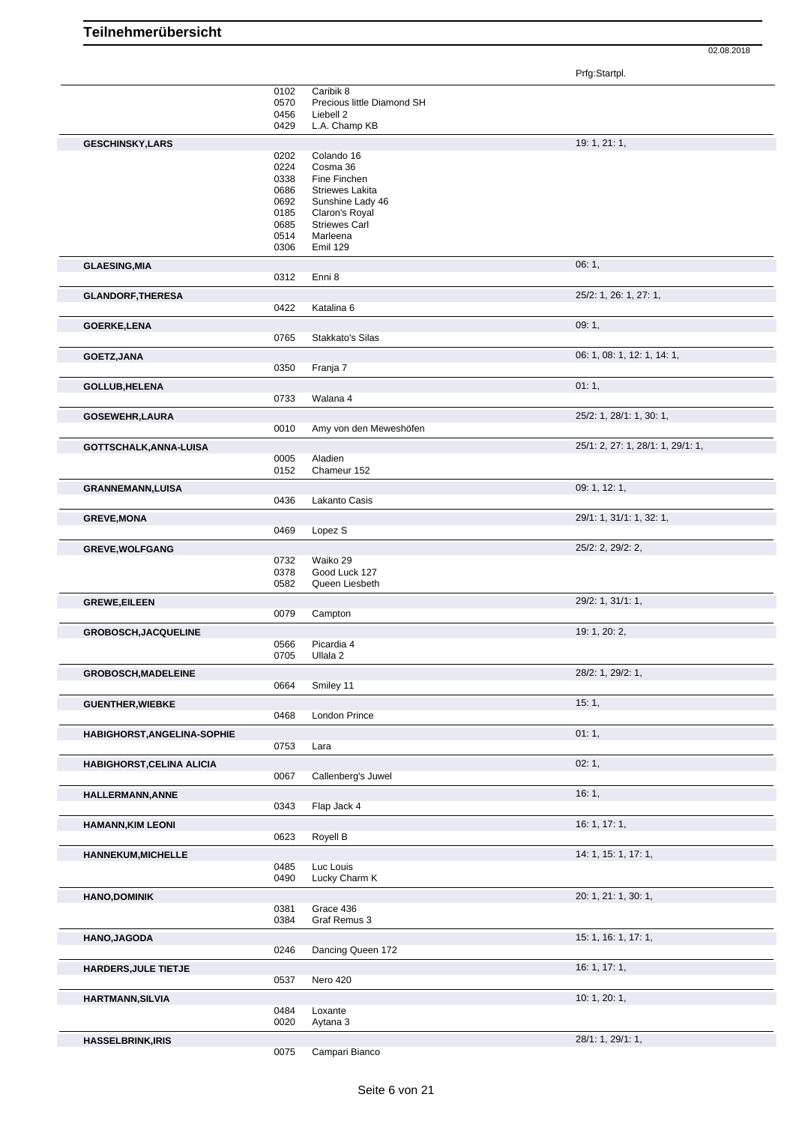Prfg:Startpl.

|                                  | 0102<br>0570<br>0456<br>0429         | Caribik 8<br>Precious little Diamond SH<br>Liebell 2<br>L.A. Champ KB                |                                   |
|----------------------------------|--------------------------------------|--------------------------------------------------------------------------------------|-----------------------------------|
| <b>GESCHINSKY,LARS</b>           |                                      |                                                                                      | 19: 1, 21: 1,                     |
|                                  | 0202<br>0224<br>0338<br>0686<br>0692 | Colando 16<br>Cosma 36<br>Fine Finchen<br><b>Striewes Lakita</b><br>Sunshine Lady 46 |                                   |
|                                  | 0185<br>0685<br>0514<br>0306         | Claron's Royal<br><b>Striewes Carl</b><br>Marleena<br>Emil 129                       |                                   |
| <b>GLAESING, MIA</b>             | 0312                                 | Enni 8                                                                               | 06:1,                             |
| <b>GLANDORF, THERESA</b>         | 0422                                 | Katalina 6                                                                           | 25/2: 1, 26: 1, 27: 1,            |
| <b>GOERKE,LENA</b>               | 0765                                 | Stakkato's Silas                                                                     | 09:1,                             |
| GOETZ, JANA                      | 0350                                 | Franja 7                                                                             | 06: 1, 08: 1, 12: 1, 14: 1,       |
| GOLLUB, HELENA                   |                                      |                                                                                      | 01:1,                             |
|                                  | 0733                                 | Walana 4                                                                             |                                   |
| <b>GOSEWEHR, LAURA</b>           | 0010                                 | Amy von den Meweshöfen                                                               | 25/2: 1, 28/1: 1, 30: 1,          |
| GOTTSCHALK, ANNA-LUISA           | 0005<br>0152                         | Aladien<br>Chameur 152                                                               | 25/1: 2, 27: 1, 28/1: 1, 29/1: 1, |
| <b>GRANNEMANN, LUISA</b>         | 0436                                 | Lakanto Casis                                                                        | 09: 1, 12: 1,                     |
| <b>GREVE, MONA</b>               | 0469                                 | Lopez S                                                                              | 29/1: 1, 31/1: 1, 32: 1,          |
|                                  |                                      |                                                                                      |                                   |
| <b>GREVE, WOLFGANG</b>           | 0732<br>0378<br>0582                 | Waiko 29<br>Good Luck 127<br>Queen Liesbeth                                          | 25/2: 2, 29/2: 2,                 |
| <b>GREWE, EILEEN</b>             | 0079                                 | Campton                                                                              | 29/2: 1, 31/1: 1,                 |
| <b>GROBOSCH, JACQUELINE</b>      |                                      |                                                                                      | 19: 1, 20: 2,                     |
|                                  | 0566<br>0705                         | Picardia 4<br>Ullala <sub>2</sub>                                                    |                                   |
| <b>GROBOSCH, MADELEINE</b>       |                                      | 0664 Smiley 11                                                                       | 28/2: 1, 29/2: 1,                 |
| <b>GUENTHER, WIEBKE</b>          | 0468                                 | London Prince                                                                        | 15:1,                             |
| HABIGHORST, ANGELINA-SOPHIE      |                                      |                                                                                      | 01:1,                             |
|                                  | 0753                                 | Lara                                                                                 |                                   |
| <b>HABIGHORST, CELINA ALICIA</b> | 0067                                 | Callenberg's Juwel                                                                   | 02:1,                             |
| HALLERMANN, ANNE                 | 0343                                 | Flap Jack 4                                                                          | 16:1,                             |
| <b>HAMANN, KIM LEONI</b>         | 0623                                 | Royell B                                                                             | 16:1, 17:1,                       |
| <b>HANNEKUM, MICHELLE</b>        | 0485                                 | Luc Louis                                                                            | 14: 1, 15: 1, 17: 1,              |
| <b>HANO,DOMINIK</b>              | 0490                                 | Lucky Charm K                                                                        | 20: 1, 21: 1, 30: 1,              |
|                                  | 0381<br>0384                         | Grace 436<br>Graf Remus 3                                                            |                                   |
| HANO, JAGODA                     | 0246                                 | Dancing Queen 172                                                                    | 15: 1, 16: 1, 17: 1,              |
| HARDERS, JULE TIETJE             | 0537                                 | Nero 420                                                                             | 16:1, 17:1,                       |
| <b>HARTMANN, SILVIA</b>          |                                      |                                                                                      | 10:1, 20:1,                       |
|                                  | 0484<br>0020                         | Loxante<br>Aytana 3                                                                  |                                   |
| <b>HASSELBRINK, IRIS</b>         | 0075                                 | Campari Bianco                                                                       | 28/1: 1, 29/1: 1,                 |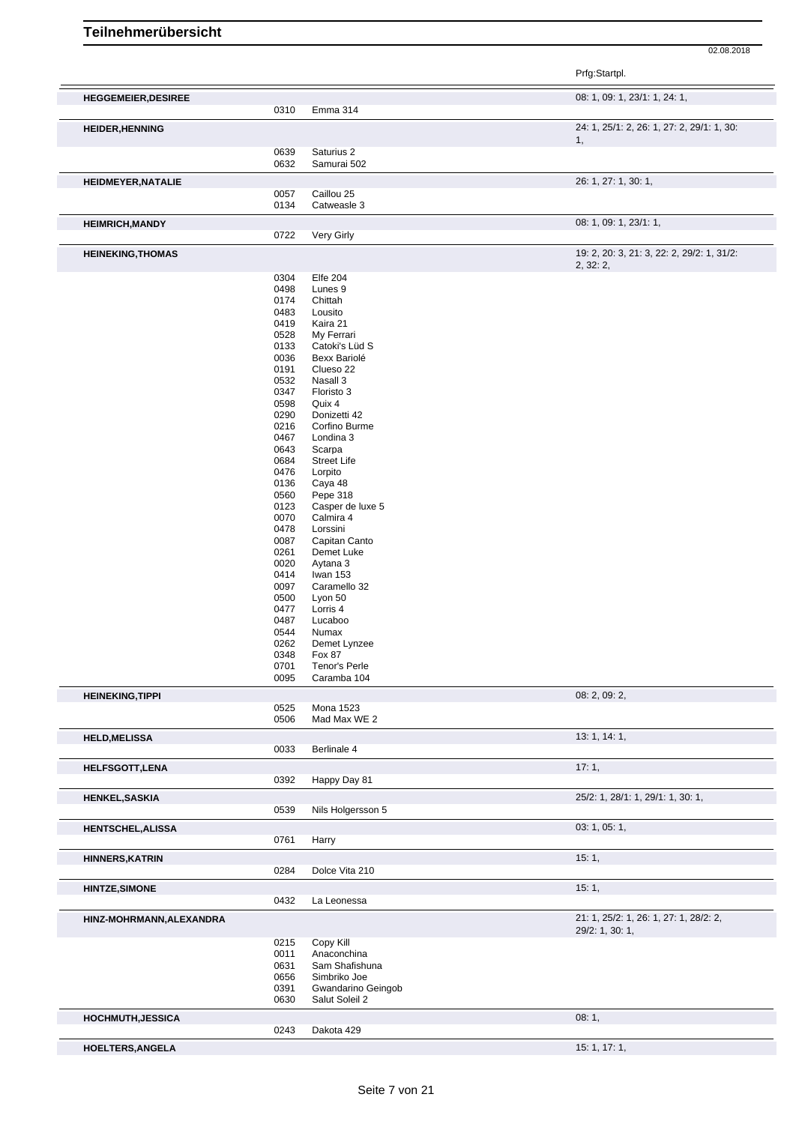|                            |              |                                  | Prfg:Startpl.                                           |
|----------------------------|--------------|----------------------------------|---------------------------------------------------------|
| <b>HEGGEMEIER, DESIREE</b> |              |                                  | 08: 1, 09: 1, 23/1: 1, 24: 1,                           |
| <b>HEIDER, HENNING</b>     | 0310         | Emma 314                         | 24: 1, 25/1: 2, 26: 1, 27: 2, 29/1: 1, 30:              |
|                            |              |                                  | 1,                                                      |
|                            | 0639<br>0632 | Saturius 2<br>Samurai 502        |                                                         |
| <b>HEIDMEYER, NATALIE</b>  |              |                                  | 26: 1, 27: 1, 30: 1,                                    |
|                            | 0057<br>0134 | Caillou 25<br>Catweasle 3        |                                                         |
| <b>HEIMRICH, MANDY</b>     |              |                                  | 08: 1, 09: 1, 23/1: 1,                                  |
|                            | 0722         | Very Girly                       |                                                         |
| <b>HEINEKING, THOMAS</b>   |              |                                  | 19: 2, 20: 3, 21: 3, 22: 2, 29/2: 1, 31/2:<br>2, 32: 2, |
|                            | 0304         | <b>Elfe 204</b>                  |                                                         |
|                            | 0498<br>0174 | Lunes 9<br>Chittah               |                                                         |
|                            | 0483         | Lousito                          |                                                         |
|                            | 0419         | Kaira 21                         |                                                         |
|                            | 0528         | My Ferrari                       |                                                         |
|                            | 0133         | Catoki's Lüd S                   |                                                         |
|                            | 0036         | Bexx Bariolé                     |                                                         |
|                            | 0191         | Clueso 22                        |                                                         |
|                            | 0532         | Nasall 3                         |                                                         |
|                            | 0347         | Floristo 3                       |                                                         |
|                            | 0598         | Quix 4                           |                                                         |
|                            | 0290         | Donizetti 42                     |                                                         |
|                            | 0216         | Corfino Burme                    |                                                         |
|                            | 0467         | Londina 3                        |                                                         |
|                            | 0643         | Scarpa                           |                                                         |
|                            | 0684         | <b>Street Life</b>               |                                                         |
|                            | 0476         | Lorpito                          |                                                         |
|                            | 0136         | Caya 48                          |                                                         |
|                            | 0560         | Pepe 318                         |                                                         |
|                            | 0123         | Casper de luxe 5                 |                                                         |
|                            | 0070         | Calmira 4                        |                                                         |
|                            | 0478         | Lorssini                         |                                                         |
|                            | 0087         | Capitan Canto                    |                                                         |
|                            | 0261         | Demet Luke                       |                                                         |
|                            | 0020         | Aytana 3                         |                                                         |
|                            | 0414         | Iwan 153                         |                                                         |
|                            | 0097         | Caramello 32                     |                                                         |
|                            | 0500         | Lyon 50                          |                                                         |
|                            | 0477         | Lorris 4                         |                                                         |
|                            | 0487<br>0544 | Lucaboo<br>Numax                 |                                                         |
|                            | 0262         | Demet Lynzee                     |                                                         |
|                            | 0348         | <b>Fox 87</b>                    |                                                         |
|                            | 0701         | Tenor's Perle                    |                                                         |
|                            | 0095         | Caramba 104                      |                                                         |
| <b>HEINEKING, TIPPI</b>    |              |                                  | 08: 2, 09: 2,                                           |
|                            | 0525<br>0506 | <b>Mona 1523</b><br>Mad Max WE 2 |                                                         |
| <b>HELD, MELISSA</b>       |              |                                  | 13: 1, 14: 1,                                           |
|                            | 0033         | Berlinale 4                      |                                                         |
| <b>HELFSGOTT, LENA</b>     |              |                                  | 17:1,                                                   |
|                            | 0392         | Happy Day 81                     |                                                         |
| <b>HENKEL, SASKIA</b>      | 0539         | Nils Holgersson 5                | 25/2: 1, 28/1: 1, 29/1: 1, 30: 1,                       |
| HENTSCHEL, ALISSA          |              |                                  | 03: 1, 05: 1,                                           |
|                            | 0761         | Harry                            |                                                         |
| <b>HINNERS, KATRIN</b>     |              |                                  | 15:1,                                                   |
|                            | 0284         | Dolce Vita 210                   |                                                         |
| <b>HINTZE, SIMONE</b>      | 0432         | La Leonessa                      | 15:1,                                                   |
| HINZ-MOHRMANN, ALEXANDRA   |              |                                  | 21: 1, 25/2: 1, 26: 1, 27: 1, 28/2: 2,                  |
|                            | 0215         | Copy Kill                        | 29/2: 1, 30: 1,                                         |
|                            | 0011         | Anaconchina                      |                                                         |
|                            | 0631         | Sam Shafishuna                   |                                                         |
|                            | 0656         | Simbriko Joe                     |                                                         |
|                            | 0391         | Gwandarino Geingob               |                                                         |
|                            | 0630         | Salut Soleil 2                   |                                                         |
| HOCHMUTH, JESSICA          |              |                                  | 08:1,                                                   |
|                            | 0243         | Dakota 429                       |                                                         |
| HOELTERS, ANGELA           |              |                                  | 15: 1, 17: 1,                                           |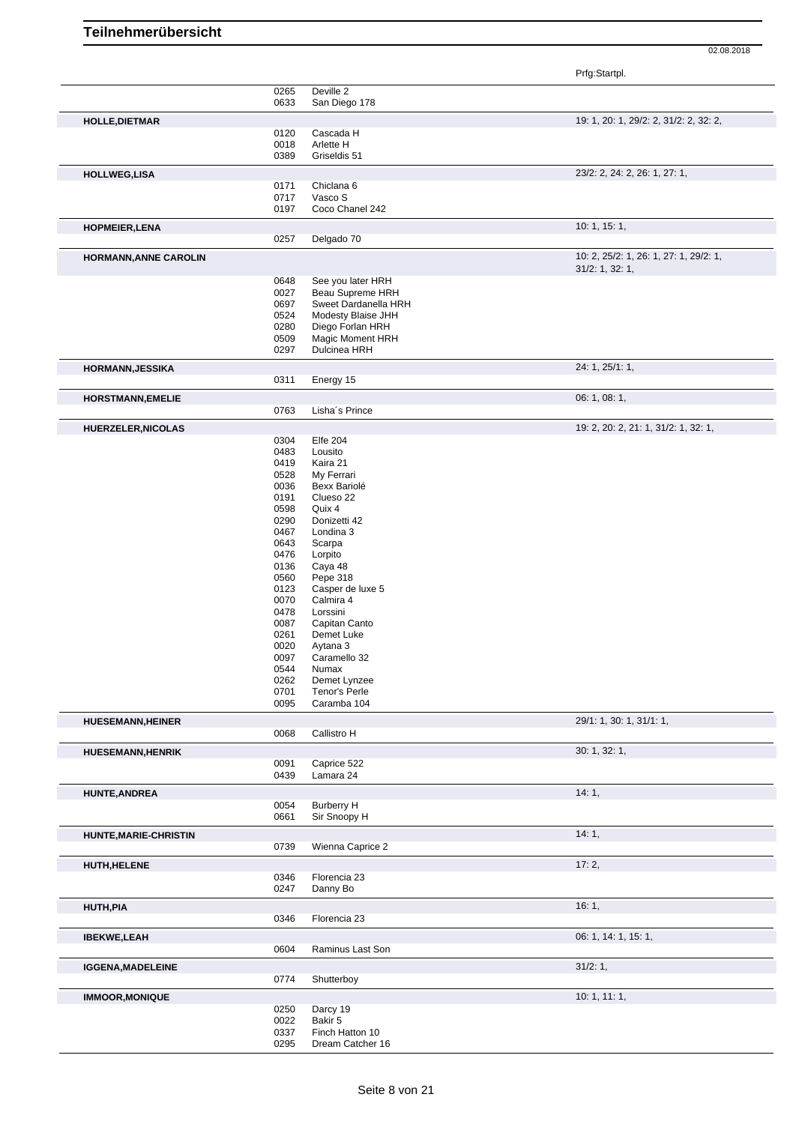Prfg:Startpl.

|                              | 0265<br>0633 | Deville 2<br>San Diego 178  |                                                           |
|------------------------------|--------------|-----------------------------|-----------------------------------------------------------|
| <b>HOLLE, DIETMAR</b>        |              |                             | 19: 1, 20: 1, 29/2: 2, 31/2: 2, 32: 2,                    |
|                              | 0120         | Cascada H                   |                                                           |
|                              | 0018         | Arlette H                   |                                                           |
|                              | 0389         | Griseldis 51                |                                                           |
| <b>HOLLWEG,LISA</b>          |              |                             | 23/2: 2, 24: 2, 26: 1, 27: 1,                             |
|                              | 0171         | Chiclana 6                  |                                                           |
|                              | 0717         | Vasco S                     |                                                           |
|                              | 0197         | Coco Chanel 242             |                                                           |
| <b>HOPMEIER, LENA</b>        |              |                             | 10: 1, 15: 1,                                             |
|                              | 0257         | Delgado 70                  |                                                           |
|                              |              |                             |                                                           |
| <b>HORMANN, ANNE CAROLIN</b> |              |                             | 10: 2, 25/2: 1, 26: 1, 27: 1, 29/2: 1,<br>31/2: 1, 32: 1, |
|                              | 0648         | See you later HRH           |                                                           |
|                              | 0027         | Beau Supreme HRH            |                                                           |
|                              | 0697         | Sweet Dardanella HRH        |                                                           |
|                              | 0524         | Modesty Blaise JHH          |                                                           |
|                              | 0280         | Diego Forlan HRH            |                                                           |
|                              | 0509         | Magic Moment HRH            |                                                           |
|                              | 0297         | Dulcinea HRH                |                                                           |
| <b>HORMANN, JESSIKA</b>      |              |                             | 24: 1, 25/1: 1,                                           |
|                              | 0311         | Energy 15                   |                                                           |
| <b>HORSTMANN, EMELIE</b>     |              |                             | 06: 1, 08: 1,                                             |
|                              | 0763         | Lisha's Prince              |                                                           |
| <b>HUERZELER, NICOLAS</b>    |              |                             | 19: 2, 20: 2, 21: 1, 31/2: 1, 32: 1,                      |
|                              | 0304         | Elfe 204                    |                                                           |
|                              | 0483         | Lousito                     |                                                           |
|                              | 0419         | Kaira 21                    |                                                           |
|                              | 0528         | My Ferrari                  |                                                           |
|                              | 0036         | Bexx Bariolé                |                                                           |
|                              | 0191         | Clueso 22                   |                                                           |
|                              | 0598         | Quix 4                      |                                                           |
|                              | 0290<br>0467 | Donizetti 42<br>Londina 3   |                                                           |
|                              | 0643         | Scarpa                      |                                                           |
|                              | 0476         | Lorpito                     |                                                           |
|                              | 0136         | Caya 48                     |                                                           |
|                              | 0560         | Pepe 318                    |                                                           |
|                              | 0123         | Casper de luxe 5            |                                                           |
|                              | 0070         | Calmira 4                   |                                                           |
|                              | 0478         | Lorssini                    |                                                           |
|                              | 0087<br>0261 | Capitan Canto<br>Demet Luke |                                                           |
|                              | 0020         | Aytana 3                    |                                                           |
|                              | 0097         | Caramello 32                |                                                           |
|                              | 0544         | Numax                       |                                                           |
|                              | 0262         | Demet Lynzee                |                                                           |
|                              | 0701         | Tenor's Perle               |                                                           |
|                              | 0095         | Caramba 104                 |                                                           |
| <b>HUESEMANN, HEINER</b>     |              |                             | 29/1: 1, 30: 1, 31/1: 1,                                  |
|                              | 0068         | Callistro H                 |                                                           |
| <b>HUESEMANN, HENRIK</b>     |              |                             | 30: 1, 32: 1,                                             |
|                              | 0091         | Caprice 522                 |                                                           |
|                              | 0439         | Lamara 24                   |                                                           |
| <b>HUNTE, ANDREA</b>         |              |                             | 14:1,                                                     |
|                              | 0054         | <b>Burberry H</b>           |                                                           |
|                              | 0661         | Sir Snoopy H                |                                                           |
| HUNTE, MARIE-CHRISTIN        |              |                             | 14:1,                                                     |
|                              | 0739         | Wienna Caprice 2            |                                                           |
|                              |              |                             | 17:2,                                                     |
| HUTH, HELENE                 | 0346         | Florencia 23                |                                                           |
|                              | 0247         | Danny Bo                    |                                                           |
|                              |              |                             |                                                           |
| <b>HUTH, PIA</b>             | 0346         | Florencia 23                | 16:1,                                                     |
|                              |              |                             |                                                           |
| <b>IBEKWE,LEAH</b>           |              |                             | 06: 1, 14: 1, 15: 1,                                      |
|                              | 0604         | Raminus Last Son            |                                                           |
| <b>IGGENA, MADELEINE</b>     |              |                             | 31/2:1,                                                   |
|                              | 0774         | Shutterboy                  |                                                           |
| <b>IMMOOR, MONIQUE</b>       |              |                             | 10:1, 11:1,                                               |
|                              | 0250         | Darcy 19                    |                                                           |
|                              | 0022         | Bakir 5                     |                                                           |
|                              | 0337         | Finch Hatton 10             |                                                           |
|                              | 0295         | Dream Catcher 16            |                                                           |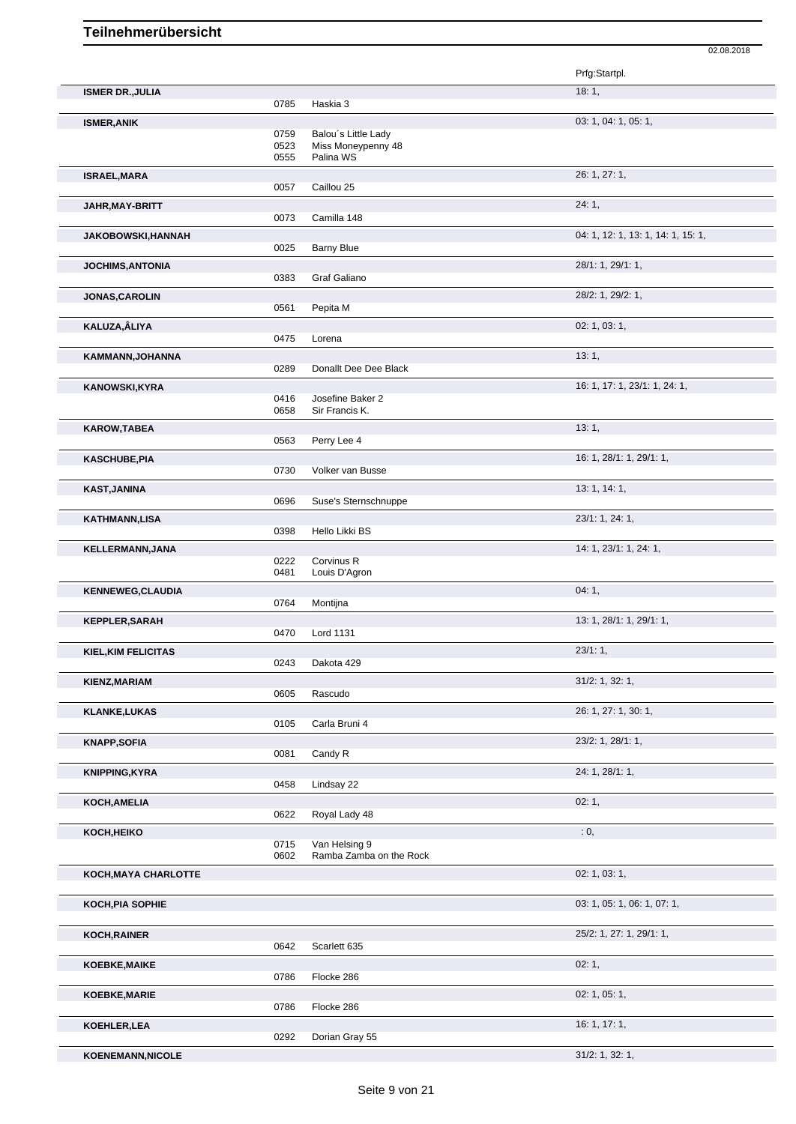|                            |              |                                    | Prfg:Startpl.                      |
|----------------------------|--------------|------------------------------------|------------------------------------|
| <b>ISMER DR., JULIA</b>    |              |                                    | 18:1,                              |
|                            | 0785         | Haskia 3                           |                                    |
| <b>ISMER, ANIK</b>         | 0759         | Balou's Little Lady                | 03: 1, 04: 1, 05: 1,               |
|                            | 0523         | Miss Moneypenny 48                 |                                    |
|                            | 0555         | Palina WS                          |                                    |
| <b>ISRAEL, MARA</b>        |              |                                    | 26: 1, 27: 1,                      |
|                            | 0057         | Caillou 25                         |                                    |
| JAHR,MAY-BRITT             | 0073         | Camilla 148                        | 24:1,                              |
|                            |              |                                    | 04: 1, 12: 1, 13: 1, 14: 1, 15: 1, |
| JAKOBOWSKI, HANNAH         | 0025         | <b>Barny Blue</b>                  |                                    |
| <b>JOCHIMS, ANTONIA</b>    |              |                                    | 28/1: 1, 29/1: 1,                  |
|                            | 0383         | Graf Galiano                       |                                    |
| <b>JONAS, CAROLIN</b>      |              |                                    | 28/2: 1, 29/2: 1,                  |
|                            | 0561         | Pepita M                           |                                    |
| KALUZA,ÂLIYA               |              |                                    | 02: 1, 03: 1,                      |
|                            | 0475         | Lorena                             |                                    |
| KAMMANN, JOHANNA           |              |                                    | 13:1,                              |
|                            | 0289         | Donallt Dee Dee Black              |                                    |
| <b>KANOWSKI,KYRA</b>       |              |                                    | 16: 1, 17: 1, 23/1: 1, 24: 1,      |
|                            | 0416<br>0658 | Josefine Baker 2<br>Sir Francis K. |                                    |
| <b>KAROW,TABEA</b>         |              |                                    | 13:1,                              |
|                            | 0563         | Perry Lee 4                        |                                    |
| <b>KASCHUBE,PIA</b>        |              |                                    | 16: 1, 28/1: 1, 29/1: 1,           |
|                            | 0730         | Volker van Busse                   |                                    |
| <b>KAST,JANINA</b>         |              |                                    | 13:1, 14:1,                        |
|                            | 0696         | Suse's Sternschnuppe               |                                    |
| <b>KATHMANN,LISA</b>       |              |                                    | 23/1: 1, 24: 1,                    |
|                            | 0398         | Hello Likki BS                     |                                    |
| KELLERMANN, JANA           |              |                                    | 14: 1, 23/1: 1, 24: 1,             |
|                            | 0222<br>0481 | Corvinus R<br>Louis D'Agron        |                                    |
|                            |              |                                    | 04:1,                              |
| <b>KENNEWEG, CLAUDIA</b>   | 0764         | Montijna                           |                                    |
| <b>KEPPLER, SARAH</b>      |              |                                    | 13: 1, 28/1: 1, 29/1: 1,           |
|                            | 0470         | Lord 1131                          |                                    |
| <b>KIEL, KIM FELICITAS</b> |              |                                    | 23/1:1,                            |
|                            | 0243         | Dakota 429                         |                                    |
| KIENZ, MARIAM              |              |                                    | $31/2$ : 1, 32: 1,                 |
|                            | 0605         | Rascudo                            |                                    |
| <b>KLANKE,LUKAS</b>        |              |                                    | 26: 1, 27: 1, 30: 1,               |
|                            | 0105         | Carla Bruni 4                      |                                    |
| <b>KNAPP,SOFIA</b>         |              |                                    | 23/2: 1, 28/1: 1,                  |
|                            | 0081         | Candy R                            |                                    |
| <b>KNIPPING, KYRA</b>      | 0458         | Lindsay 22                         | 24: 1, 28/1: 1,                    |
|                            |              |                                    |                                    |
| KOCH, AMELIA               | 0622         | Royal Lady 48                      | 02:1,                              |
| KOCH, HEIKO                |              |                                    | : 0,                               |
|                            | 0715         | Van Helsing 9                      |                                    |
|                            | 0602         | Ramba Zamba on the Rock            |                                    |
| KOCH, MAYA CHARLOTTE       |              |                                    | 02: 1, 03: 1,                      |
|                            |              |                                    |                                    |
| KOCH, PIA SOPHIE           |              |                                    | 03: 1, 05: 1, 06: 1, 07: 1,        |
|                            |              |                                    |                                    |
| <b>KOCH, RAINER</b>        |              |                                    | 25/2: 1, 27: 1, 29/1: 1,           |
|                            | 0642         | Scarlett 635                       |                                    |
| <b>KOEBKE, MAIKE</b>       | 0786         | Flocke 286                         | 02:1,                              |
|                            |              |                                    | 02: 1, 05: 1,                      |
| <b>KOEBKE, MARIE</b>       | 0786         | Flocke 286                         |                                    |
| KOEHLER, LEA               |              |                                    | 16: 1, 17: 1,                      |
|                            | 0292         | Dorian Gray 55                     |                                    |
| <b>KOENEMANN, NICOLE</b>   |              |                                    | $31/2$ : 1, 32: 1,                 |
|                            |              |                                    |                                    |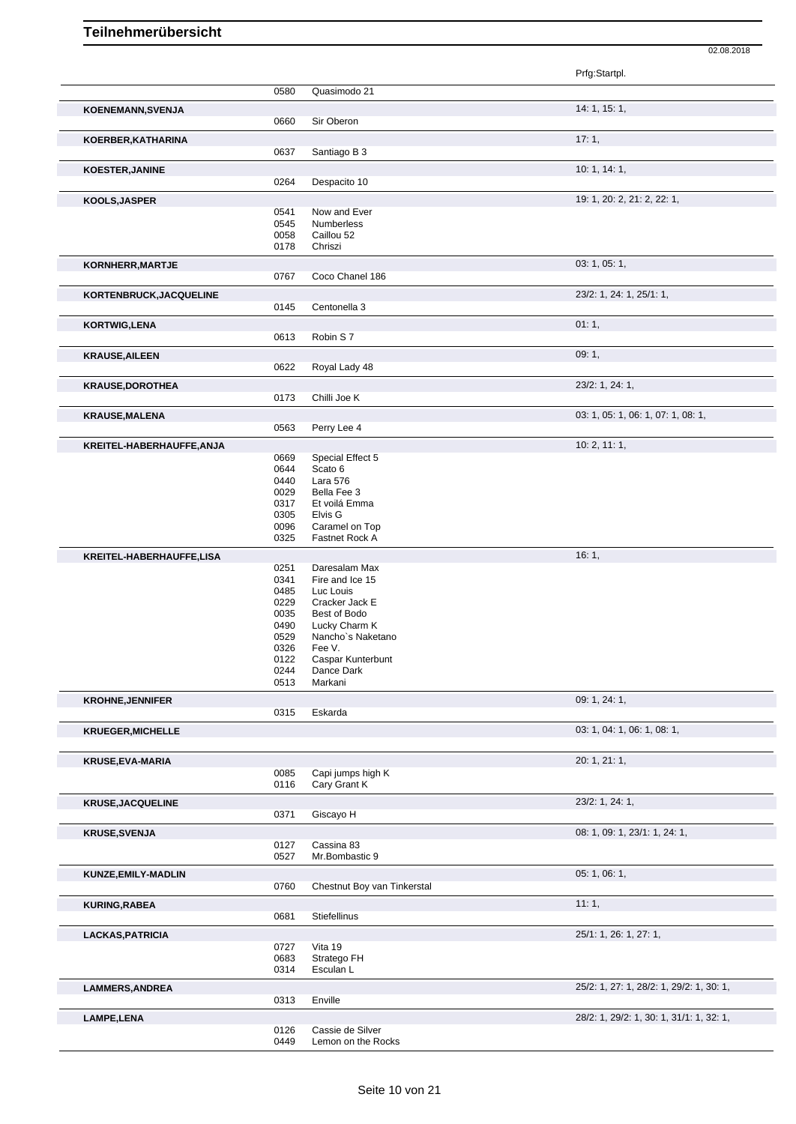| 0580<br>Quasimodo 21<br>14: 1, 15: 1,<br><b>KOENEMANN, SVENJA</b><br>Sir Oberon<br>0660<br>17:1,<br>KOERBER, KATHARINA<br>0637<br>Santiago B 3<br>10: 1, 14: 1,<br><b>KOESTER, JANINE</b><br>0264<br>Despacito 10<br>19: 1, 20: 2, 21: 2, 22: 1,<br>KOOLS, JASPER<br>0541<br>Now and Ever<br>0545<br>Numberless<br>0058<br>Caillou 52<br>0178<br>Chriszi<br>03: 1, 05: 1,<br>KORNHERR, MARTJE<br>0767<br>Coco Chanel 186<br>23/2: 1, 24: 1, 25/1: 1,<br>KORTENBRUCK, JACQUELINE<br>Centonella 3<br>0145<br>01:1,<br><b>KORTWIG,LENA</b><br>0613<br>Robin S7<br>09:1,<br><b>KRAUSE, AILEEN</b><br>0622<br>Royal Lady 48<br>23/2: 1, 24: 1,<br><b>KRAUSE, DOROTHEA</b><br>0173<br>Chilli Joe K<br>03: 1, 05: 1, 06: 1, 07: 1, 08: 1,<br><b>KRAUSE, MALENA</b><br>0563<br>Perry Lee 4<br>10: 2, 11: 1,<br>KREITEL-HABERHAUFFE, ANJA<br>0669<br>Special Effect 5<br>0644<br>Scato 6<br>0440<br>Lara 576<br>0029<br>Bella Fee 3<br>0317<br>Et voilá Emma<br>0305<br>Elvis <sub>G</sub><br>Caramel on Top<br>0096<br>0325<br>Fastnet Rock A<br>16:1,<br>0251<br>Daresalam Max<br>0341<br>Fire and Ice 15<br>0485<br>Luc Louis<br>0229<br>Cracker Jack E<br>0035<br>Best of Bodo<br>0490<br>Lucky Charm K<br>0529<br>Nancho's Naketano<br>0326<br>Fee V.<br>0122<br>Caspar Kunterbunt<br>0244<br>Dance Dark<br>0513<br>Markani<br>09: 1, 24: 1,<br>Eskarda<br>0315<br>03: 1, 04: 1, 06: 1, 08: 1,<br>20: 1, 21: 1,<br>0085<br>Capi jumps high K<br>0116<br>Cary Grant K<br>23/2: 1, 24: 1,<br>0371<br>Giscayo H<br>08: 1, 09: 1, 23/1: 1, 24: 1,<br><b>KRUSE, SVENJA</b><br>Cassina 83<br>0127<br>0527<br>Mr.Bombastic 9<br>05: 1, 06: 1,<br>KUNZE, EMILY-MADLIN<br>0760<br>Chestnut Boy van Tinkerstal<br>11:1,<br><b>KURING, RABEA</b><br>0681<br>Stiefellinus<br>25/1: 1, 26: 1, 27: 1,<br><b>LACKAS, PATRICIA</b><br>0727<br>Vita 19<br>0683<br>Stratego FH<br>0314<br>Esculan L<br>25/2: 1, 27: 1, 28/2: 1, 29/2: 1, 30: 1,<br>0313<br>Enville<br>28/2: 1, 29/2: 1, 30: 1, 31/1: 1, 32: 1,<br>0126<br>Cassie de Silver<br>0449<br>Lemon on the Rocks |                          |  | Prfg:Startpl. |
|----------------------------------------------------------------------------------------------------------------------------------------------------------------------------------------------------------------------------------------------------------------------------------------------------------------------------------------------------------------------------------------------------------------------------------------------------------------------------------------------------------------------------------------------------------------------------------------------------------------------------------------------------------------------------------------------------------------------------------------------------------------------------------------------------------------------------------------------------------------------------------------------------------------------------------------------------------------------------------------------------------------------------------------------------------------------------------------------------------------------------------------------------------------------------------------------------------------------------------------------------------------------------------------------------------------------------------------------------------------------------------------------------------------------------------------------------------------------------------------------------------------------------------------------------------------------------------------------------------------------------------------------------------------------------------------------------------------------------------------------------------------------------------------------------------------------------------------------------------------------------------------------------------------------------------------------------------------------------------------------------------------------------------------------------|--------------------------|--|---------------|
|                                                                                                                                                                                                                                                                                                                                                                                                                                                                                                                                                                                                                                                                                                                                                                                                                                                                                                                                                                                                                                                                                                                                                                                                                                                                                                                                                                                                                                                                                                                                                                                                                                                                                                                                                                                                                                                                                                                                                                                                                                                    |                          |  |               |
|                                                                                                                                                                                                                                                                                                                                                                                                                                                                                                                                                                                                                                                                                                                                                                                                                                                                                                                                                                                                                                                                                                                                                                                                                                                                                                                                                                                                                                                                                                                                                                                                                                                                                                                                                                                                                                                                                                                                                                                                                                                    |                          |  |               |
|                                                                                                                                                                                                                                                                                                                                                                                                                                                                                                                                                                                                                                                                                                                                                                                                                                                                                                                                                                                                                                                                                                                                                                                                                                                                                                                                                                                                                                                                                                                                                                                                                                                                                                                                                                                                                                                                                                                                                                                                                                                    |                          |  |               |
|                                                                                                                                                                                                                                                                                                                                                                                                                                                                                                                                                                                                                                                                                                                                                                                                                                                                                                                                                                                                                                                                                                                                                                                                                                                                                                                                                                                                                                                                                                                                                                                                                                                                                                                                                                                                                                                                                                                                                                                                                                                    |                          |  |               |
|                                                                                                                                                                                                                                                                                                                                                                                                                                                                                                                                                                                                                                                                                                                                                                                                                                                                                                                                                                                                                                                                                                                                                                                                                                                                                                                                                                                                                                                                                                                                                                                                                                                                                                                                                                                                                                                                                                                                                                                                                                                    |                          |  |               |
|                                                                                                                                                                                                                                                                                                                                                                                                                                                                                                                                                                                                                                                                                                                                                                                                                                                                                                                                                                                                                                                                                                                                                                                                                                                                                                                                                                                                                                                                                                                                                                                                                                                                                                                                                                                                                                                                                                                                                                                                                                                    |                          |  |               |
|                                                                                                                                                                                                                                                                                                                                                                                                                                                                                                                                                                                                                                                                                                                                                                                                                                                                                                                                                                                                                                                                                                                                                                                                                                                                                                                                                                                                                                                                                                                                                                                                                                                                                                                                                                                                                                                                                                                                                                                                                                                    |                          |  |               |
|                                                                                                                                                                                                                                                                                                                                                                                                                                                                                                                                                                                                                                                                                                                                                                                                                                                                                                                                                                                                                                                                                                                                                                                                                                                                                                                                                                                                                                                                                                                                                                                                                                                                                                                                                                                                                                                                                                                                                                                                                                                    |                          |  |               |
|                                                                                                                                                                                                                                                                                                                                                                                                                                                                                                                                                                                                                                                                                                                                                                                                                                                                                                                                                                                                                                                                                                                                                                                                                                                                                                                                                                                                                                                                                                                                                                                                                                                                                                                                                                                                                                                                                                                                                                                                                                                    |                          |  |               |
|                                                                                                                                                                                                                                                                                                                                                                                                                                                                                                                                                                                                                                                                                                                                                                                                                                                                                                                                                                                                                                                                                                                                                                                                                                                                                                                                                                                                                                                                                                                                                                                                                                                                                                                                                                                                                                                                                                                                                                                                                                                    |                          |  |               |
|                                                                                                                                                                                                                                                                                                                                                                                                                                                                                                                                                                                                                                                                                                                                                                                                                                                                                                                                                                                                                                                                                                                                                                                                                                                                                                                                                                                                                                                                                                                                                                                                                                                                                                                                                                                                                                                                                                                                                                                                                                                    |                          |  |               |
|                                                                                                                                                                                                                                                                                                                                                                                                                                                                                                                                                                                                                                                                                                                                                                                                                                                                                                                                                                                                                                                                                                                                                                                                                                                                                                                                                                                                                                                                                                                                                                                                                                                                                                                                                                                                                                                                                                                                                                                                                                                    |                          |  |               |
|                                                                                                                                                                                                                                                                                                                                                                                                                                                                                                                                                                                                                                                                                                                                                                                                                                                                                                                                                                                                                                                                                                                                                                                                                                                                                                                                                                                                                                                                                                                                                                                                                                                                                                                                                                                                                                                                                                                                                                                                                                                    |                          |  |               |
|                                                                                                                                                                                                                                                                                                                                                                                                                                                                                                                                                                                                                                                                                                                                                                                                                                                                                                                                                                                                                                                                                                                                                                                                                                                                                                                                                                                                                                                                                                                                                                                                                                                                                                                                                                                                                                                                                                                                                                                                                                                    |                          |  |               |
|                                                                                                                                                                                                                                                                                                                                                                                                                                                                                                                                                                                                                                                                                                                                                                                                                                                                                                                                                                                                                                                                                                                                                                                                                                                                                                                                                                                                                                                                                                                                                                                                                                                                                                                                                                                                                                                                                                                                                                                                                                                    |                          |  |               |
|                                                                                                                                                                                                                                                                                                                                                                                                                                                                                                                                                                                                                                                                                                                                                                                                                                                                                                                                                                                                                                                                                                                                                                                                                                                                                                                                                                                                                                                                                                                                                                                                                                                                                                                                                                                                                                                                                                                                                                                                                                                    |                          |  |               |
|                                                                                                                                                                                                                                                                                                                                                                                                                                                                                                                                                                                                                                                                                                                                                                                                                                                                                                                                                                                                                                                                                                                                                                                                                                                                                                                                                                                                                                                                                                                                                                                                                                                                                                                                                                                                                                                                                                                                                                                                                                                    |                          |  |               |
|                                                                                                                                                                                                                                                                                                                                                                                                                                                                                                                                                                                                                                                                                                                                                                                                                                                                                                                                                                                                                                                                                                                                                                                                                                                                                                                                                                                                                                                                                                                                                                                                                                                                                                                                                                                                                                                                                                                                                                                                                                                    |                          |  |               |
|                                                                                                                                                                                                                                                                                                                                                                                                                                                                                                                                                                                                                                                                                                                                                                                                                                                                                                                                                                                                                                                                                                                                                                                                                                                                                                                                                                                                                                                                                                                                                                                                                                                                                                                                                                                                                                                                                                                                                                                                                                                    |                          |  |               |
|                                                                                                                                                                                                                                                                                                                                                                                                                                                                                                                                                                                                                                                                                                                                                                                                                                                                                                                                                                                                                                                                                                                                                                                                                                                                                                                                                                                                                                                                                                                                                                                                                                                                                                                                                                                                                                                                                                                                                                                                                                                    |                          |  |               |
|                                                                                                                                                                                                                                                                                                                                                                                                                                                                                                                                                                                                                                                                                                                                                                                                                                                                                                                                                                                                                                                                                                                                                                                                                                                                                                                                                                                                                                                                                                                                                                                                                                                                                                                                                                                                                                                                                                                                                                                                                                                    |                          |  |               |
|                                                                                                                                                                                                                                                                                                                                                                                                                                                                                                                                                                                                                                                                                                                                                                                                                                                                                                                                                                                                                                                                                                                                                                                                                                                                                                                                                                                                                                                                                                                                                                                                                                                                                                                                                                                                                                                                                                                                                                                                                                                    |                          |  |               |
|                                                                                                                                                                                                                                                                                                                                                                                                                                                                                                                                                                                                                                                                                                                                                                                                                                                                                                                                                                                                                                                                                                                                                                                                                                                                                                                                                                                                                                                                                                                                                                                                                                                                                                                                                                                                                                                                                                                                                                                                                                                    |                          |  |               |
|                                                                                                                                                                                                                                                                                                                                                                                                                                                                                                                                                                                                                                                                                                                                                                                                                                                                                                                                                                                                                                                                                                                                                                                                                                                                                                                                                                                                                                                                                                                                                                                                                                                                                                                                                                                                                                                                                                                                                                                                                                                    |                          |  |               |
|                                                                                                                                                                                                                                                                                                                                                                                                                                                                                                                                                                                                                                                                                                                                                                                                                                                                                                                                                                                                                                                                                                                                                                                                                                                                                                                                                                                                                                                                                                                                                                                                                                                                                                                                                                                                                                                                                                                                                                                                                                                    |                          |  |               |
|                                                                                                                                                                                                                                                                                                                                                                                                                                                                                                                                                                                                                                                                                                                                                                                                                                                                                                                                                                                                                                                                                                                                                                                                                                                                                                                                                                                                                                                                                                                                                                                                                                                                                                                                                                                                                                                                                                                                                                                                                                                    |                          |  |               |
|                                                                                                                                                                                                                                                                                                                                                                                                                                                                                                                                                                                                                                                                                                                                                                                                                                                                                                                                                                                                                                                                                                                                                                                                                                                                                                                                                                                                                                                                                                                                                                                                                                                                                                                                                                                                                                                                                                                                                                                                                                                    |                          |  |               |
|                                                                                                                                                                                                                                                                                                                                                                                                                                                                                                                                                                                                                                                                                                                                                                                                                                                                                                                                                                                                                                                                                                                                                                                                                                                                                                                                                                                                                                                                                                                                                                                                                                                                                                                                                                                                                                                                                                                                                                                                                                                    |                          |  |               |
|                                                                                                                                                                                                                                                                                                                                                                                                                                                                                                                                                                                                                                                                                                                                                                                                                                                                                                                                                                                                                                                                                                                                                                                                                                                                                                                                                                                                                                                                                                                                                                                                                                                                                                                                                                                                                                                                                                                                                                                                                                                    |                          |  |               |
|                                                                                                                                                                                                                                                                                                                                                                                                                                                                                                                                                                                                                                                                                                                                                                                                                                                                                                                                                                                                                                                                                                                                                                                                                                                                                                                                                                                                                                                                                                                                                                                                                                                                                                                                                                                                                                                                                                                                                                                                                                                    |                          |  |               |
|                                                                                                                                                                                                                                                                                                                                                                                                                                                                                                                                                                                                                                                                                                                                                                                                                                                                                                                                                                                                                                                                                                                                                                                                                                                                                                                                                                                                                                                                                                                                                                                                                                                                                                                                                                                                                                                                                                                                                                                                                                                    |                          |  |               |
|                                                                                                                                                                                                                                                                                                                                                                                                                                                                                                                                                                                                                                                                                                                                                                                                                                                                                                                                                                                                                                                                                                                                                                                                                                                                                                                                                                                                                                                                                                                                                                                                                                                                                                                                                                                                                                                                                                                                                                                                                                                    | KREITEL-HABERHAUFFE,LISA |  |               |
|                                                                                                                                                                                                                                                                                                                                                                                                                                                                                                                                                                                                                                                                                                                                                                                                                                                                                                                                                                                                                                                                                                                                                                                                                                                                                                                                                                                                                                                                                                                                                                                                                                                                                                                                                                                                                                                                                                                                                                                                                                                    |                          |  |               |
|                                                                                                                                                                                                                                                                                                                                                                                                                                                                                                                                                                                                                                                                                                                                                                                                                                                                                                                                                                                                                                                                                                                                                                                                                                                                                                                                                                                                                                                                                                                                                                                                                                                                                                                                                                                                                                                                                                                                                                                                                                                    |                          |  |               |
|                                                                                                                                                                                                                                                                                                                                                                                                                                                                                                                                                                                                                                                                                                                                                                                                                                                                                                                                                                                                                                                                                                                                                                                                                                                                                                                                                                                                                                                                                                                                                                                                                                                                                                                                                                                                                                                                                                                                                                                                                                                    |                          |  |               |
|                                                                                                                                                                                                                                                                                                                                                                                                                                                                                                                                                                                                                                                                                                                                                                                                                                                                                                                                                                                                                                                                                                                                                                                                                                                                                                                                                                                                                                                                                                                                                                                                                                                                                                                                                                                                                                                                                                                                                                                                                                                    |                          |  |               |
|                                                                                                                                                                                                                                                                                                                                                                                                                                                                                                                                                                                                                                                                                                                                                                                                                                                                                                                                                                                                                                                                                                                                                                                                                                                                                                                                                                                                                                                                                                                                                                                                                                                                                                                                                                                                                                                                                                                                                                                                                                                    |                          |  |               |
|                                                                                                                                                                                                                                                                                                                                                                                                                                                                                                                                                                                                                                                                                                                                                                                                                                                                                                                                                                                                                                                                                                                                                                                                                                                                                                                                                                                                                                                                                                                                                                                                                                                                                                                                                                                                                                                                                                                                                                                                                                                    |                          |  |               |
|                                                                                                                                                                                                                                                                                                                                                                                                                                                                                                                                                                                                                                                                                                                                                                                                                                                                                                                                                                                                                                                                                                                                                                                                                                                                                                                                                                                                                                                                                                                                                                                                                                                                                                                                                                                                                                                                                                                                                                                                                                                    |                          |  |               |
|                                                                                                                                                                                                                                                                                                                                                                                                                                                                                                                                                                                                                                                                                                                                                                                                                                                                                                                                                                                                                                                                                                                                                                                                                                                                                                                                                                                                                                                                                                                                                                                                                                                                                                                                                                                                                                                                                                                                                                                                                                                    |                          |  |               |
|                                                                                                                                                                                                                                                                                                                                                                                                                                                                                                                                                                                                                                                                                                                                                                                                                                                                                                                                                                                                                                                                                                                                                                                                                                                                                                                                                                                                                                                                                                                                                                                                                                                                                                                                                                                                                                                                                                                                                                                                                                                    |                          |  |               |
|                                                                                                                                                                                                                                                                                                                                                                                                                                                                                                                                                                                                                                                                                                                                                                                                                                                                                                                                                                                                                                                                                                                                                                                                                                                                                                                                                                                                                                                                                                                                                                                                                                                                                                                                                                                                                                                                                                                                                                                                                                                    | <b>KROHNE, JENNIFER</b>  |  |               |
|                                                                                                                                                                                                                                                                                                                                                                                                                                                                                                                                                                                                                                                                                                                                                                                                                                                                                                                                                                                                                                                                                                                                                                                                                                                                                                                                                                                                                                                                                                                                                                                                                                                                                                                                                                                                                                                                                                                                                                                                                                                    |                          |  |               |
|                                                                                                                                                                                                                                                                                                                                                                                                                                                                                                                                                                                                                                                                                                                                                                                                                                                                                                                                                                                                                                                                                                                                                                                                                                                                                                                                                                                                                                                                                                                                                                                                                                                                                                                                                                                                                                                                                                                                                                                                                                                    | <b>KRUEGER, MICHELLE</b> |  |               |
|                                                                                                                                                                                                                                                                                                                                                                                                                                                                                                                                                                                                                                                                                                                                                                                                                                                                                                                                                                                                                                                                                                                                                                                                                                                                                                                                                                                                                                                                                                                                                                                                                                                                                                                                                                                                                                                                                                                                                                                                                                                    |                          |  |               |
|                                                                                                                                                                                                                                                                                                                                                                                                                                                                                                                                                                                                                                                                                                                                                                                                                                                                                                                                                                                                                                                                                                                                                                                                                                                                                                                                                                                                                                                                                                                                                                                                                                                                                                                                                                                                                                                                                                                                                                                                                                                    | <b>KRUSE, EVA-MARIA</b>  |  |               |
|                                                                                                                                                                                                                                                                                                                                                                                                                                                                                                                                                                                                                                                                                                                                                                                                                                                                                                                                                                                                                                                                                                                                                                                                                                                                                                                                                                                                                                                                                                                                                                                                                                                                                                                                                                                                                                                                                                                                                                                                                                                    |                          |  |               |
|                                                                                                                                                                                                                                                                                                                                                                                                                                                                                                                                                                                                                                                                                                                                                                                                                                                                                                                                                                                                                                                                                                                                                                                                                                                                                                                                                                                                                                                                                                                                                                                                                                                                                                                                                                                                                                                                                                                                                                                                                                                    |                          |  |               |
|                                                                                                                                                                                                                                                                                                                                                                                                                                                                                                                                                                                                                                                                                                                                                                                                                                                                                                                                                                                                                                                                                                                                                                                                                                                                                                                                                                                                                                                                                                                                                                                                                                                                                                                                                                                                                                                                                                                                                                                                                                                    | <b>KRUSE, JACQUELINE</b> |  |               |
|                                                                                                                                                                                                                                                                                                                                                                                                                                                                                                                                                                                                                                                                                                                                                                                                                                                                                                                                                                                                                                                                                                                                                                                                                                                                                                                                                                                                                                                                                                                                                                                                                                                                                                                                                                                                                                                                                                                                                                                                                                                    |                          |  |               |
|                                                                                                                                                                                                                                                                                                                                                                                                                                                                                                                                                                                                                                                                                                                                                                                                                                                                                                                                                                                                                                                                                                                                                                                                                                                                                                                                                                                                                                                                                                                                                                                                                                                                                                                                                                                                                                                                                                                                                                                                                                                    |                          |  |               |
|                                                                                                                                                                                                                                                                                                                                                                                                                                                                                                                                                                                                                                                                                                                                                                                                                                                                                                                                                                                                                                                                                                                                                                                                                                                                                                                                                                                                                                                                                                                                                                                                                                                                                                                                                                                                                                                                                                                                                                                                                                                    |                          |  |               |
|                                                                                                                                                                                                                                                                                                                                                                                                                                                                                                                                                                                                                                                                                                                                                                                                                                                                                                                                                                                                                                                                                                                                                                                                                                                                                                                                                                                                                                                                                                                                                                                                                                                                                                                                                                                                                                                                                                                                                                                                                                                    |                          |  |               |
|                                                                                                                                                                                                                                                                                                                                                                                                                                                                                                                                                                                                                                                                                                                                                                                                                                                                                                                                                                                                                                                                                                                                                                                                                                                                                                                                                                                                                                                                                                                                                                                                                                                                                                                                                                                                                                                                                                                                                                                                                                                    |                          |  |               |
|                                                                                                                                                                                                                                                                                                                                                                                                                                                                                                                                                                                                                                                                                                                                                                                                                                                                                                                                                                                                                                                                                                                                                                                                                                                                                                                                                                                                                                                                                                                                                                                                                                                                                                                                                                                                                                                                                                                                                                                                                                                    |                          |  |               |
|                                                                                                                                                                                                                                                                                                                                                                                                                                                                                                                                                                                                                                                                                                                                                                                                                                                                                                                                                                                                                                                                                                                                                                                                                                                                                                                                                                                                                                                                                                                                                                                                                                                                                                                                                                                                                                                                                                                                                                                                                                                    |                          |  |               |
|                                                                                                                                                                                                                                                                                                                                                                                                                                                                                                                                                                                                                                                                                                                                                                                                                                                                                                                                                                                                                                                                                                                                                                                                                                                                                                                                                                                                                                                                                                                                                                                                                                                                                                                                                                                                                                                                                                                                                                                                                                                    |                          |  |               |
|                                                                                                                                                                                                                                                                                                                                                                                                                                                                                                                                                                                                                                                                                                                                                                                                                                                                                                                                                                                                                                                                                                                                                                                                                                                                                                                                                                                                                                                                                                                                                                                                                                                                                                                                                                                                                                                                                                                                                                                                                                                    |                          |  |               |
|                                                                                                                                                                                                                                                                                                                                                                                                                                                                                                                                                                                                                                                                                                                                                                                                                                                                                                                                                                                                                                                                                                                                                                                                                                                                                                                                                                                                                                                                                                                                                                                                                                                                                                                                                                                                                                                                                                                                                                                                                                                    |                          |  |               |
|                                                                                                                                                                                                                                                                                                                                                                                                                                                                                                                                                                                                                                                                                                                                                                                                                                                                                                                                                                                                                                                                                                                                                                                                                                                                                                                                                                                                                                                                                                                                                                                                                                                                                                                                                                                                                                                                                                                                                                                                                                                    |                          |  |               |
|                                                                                                                                                                                                                                                                                                                                                                                                                                                                                                                                                                                                                                                                                                                                                                                                                                                                                                                                                                                                                                                                                                                                                                                                                                                                                                                                                                                                                                                                                                                                                                                                                                                                                                                                                                                                                                                                                                                                                                                                                                                    | <b>LAMMERS, ANDREA</b>   |  |               |
|                                                                                                                                                                                                                                                                                                                                                                                                                                                                                                                                                                                                                                                                                                                                                                                                                                                                                                                                                                                                                                                                                                                                                                                                                                                                                                                                                                                                                                                                                                                                                                                                                                                                                                                                                                                                                                                                                                                                                                                                                                                    |                          |  |               |
|                                                                                                                                                                                                                                                                                                                                                                                                                                                                                                                                                                                                                                                                                                                                                                                                                                                                                                                                                                                                                                                                                                                                                                                                                                                                                                                                                                                                                                                                                                                                                                                                                                                                                                                                                                                                                                                                                                                                                                                                                                                    | LAMPE, LENA              |  |               |
|                                                                                                                                                                                                                                                                                                                                                                                                                                                                                                                                                                                                                                                                                                                                                                                                                                                                                                                                                                                                                                                                                                                                                                                                                                                                                                                                                                                                                                                                                                                                                                                                                                                                                                                                                                                                                                                                                                                                                                                                                                                    |                          |  |               |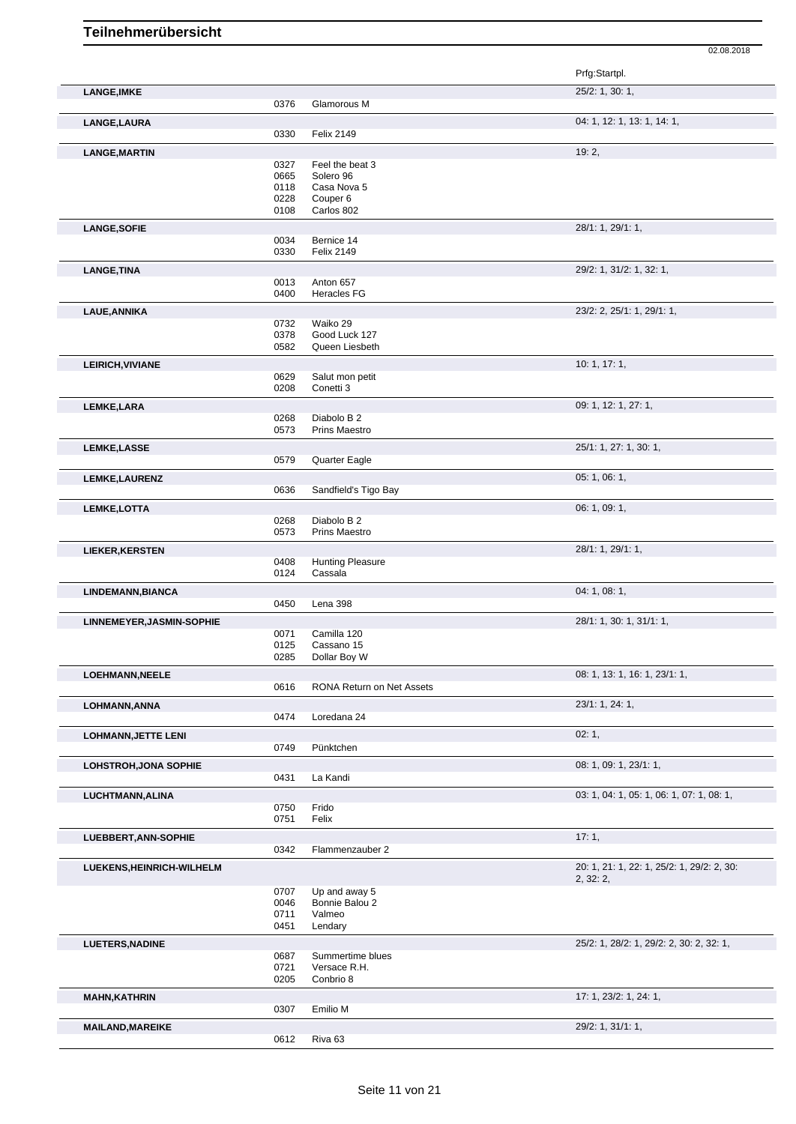|                              |              |                                   | Prfg:Startpl.                              |
|------------------------------|--------------|-----------------------------------|--------------------------------------------|
| <b>LANGE, IMKE</b>           | 0376         | Glamorous M                       | 25/2: 1, 30: 1,                            |
| LANGE, LAURA                 |              |                                   | 04: 1, 12: 1, 13: 1, 14: 1,                |
|                              | 0330         | <b>Felix 2149</b>                 |                                            |
| <b>LANGE, MARTIN</b>         |              |                                   | 19:2,                                      |
|                              | 0327         | Feel the beat 3                   |                                            |
|                              | 0665         | Solero 96                         |                                            |
|                              | 0118         | Casa Nova 5                       |                                            |
|                              | 0228<br>0108 | Couper <sub>6</sub><br>Carlos 802 |                                            |
|                              |              |                                   |                                            |
| <b>LANGE, SOFIE</b>          |              |                                   | 28/1: 1, 29/1: 1,                          |
|                              | 0034<br>0330 | Bernice 14<br><b>Felix 2149</b>   |                                            |
|                              |              |                                   |                                            |
| <b>LANGE, TINA</b>           | 0013         | Anton 657                         | 29/2: 1, 31/2: 1, 32: 1,                   |
|                              | 0400         | Heracles FG                       |                                            |
|                              |              |                                   | 23/2: 2, 25/1: 1, 29/1: 1,                 |
| <b>LAUE, ANNIKA</b>          | 0732         | Waiko 29                          |                                            |
|                              | 0378         | Good Luck 127                     |                                            |
|                              | 0582         | Queen Liesbeth                    |                                            |
| LEIRICH, VIVIANE             |              |                                   | 10: 1, 17: 1,                              |
|                              | 0629         | Salut mon petit                   |                                            |
|                              | 0208         | Conetti 3                         |                                            |
| LEMKE, LARA                  |              |                                   | 09: 1, 12: 1, 27: 1,                       |
|                              | 0268         | Diabolo B 2                       |                                            |
|                              | 0573         | Prins Maestro                     |                                            |
| <b>LEMKE,LASSE</b>           |              |                                   | 25/1: 1, 27: 1, 30: 1,                     |
|                              | 0579         | Quarter Eagle                     |                                            |
|                              |              |                                   | 05: 1, 06: 1,                              |
| LEMKE, LAURENZ               | 0636         | Sandfield's Tigo Bay              |                                            |
|                              |              |                                   |                                            |
| LEMKE, LOTTA                 | 0268         | Diabolo B 2                       | 06: 1, 09: 1,                              |
|                              | 0573         | <b>Prins Maestro</b>              |                                            |
|                              |              |                                   |                                            |
| <b>LIEKER, KERSTEN</b>       | 0408         | <b>Hunting Pleasure</b>           | 28/1: 1, 29/1: 1,                          |
|                              | 0124         | Cassala                           |                                            |
|                              |              |                                   | 04:1,08:1,                                 |
| LINDEMANN, BIANCA            | 0450         | Lena 398                          |                                            |
|                              |              |                                   |                                            |
| LINNEMEYER, JASMIN-SOPHIE    |              | Camilla 120                       | 28/1: 1, 30: 1, 31/1: 1,                   |
|                              | 0071<br>0125 | Cassano 15                        |                                            |
|                              | 0285         | Dollar Boy W                      |                                            |
| <b>LOEHMANN, NEELE</b>       |              |                                   | 08: 1, 13: 1, 16: 1, 23/1: 1,              |
|                              | 0616         | RONA Return on Net Assets         |                                            |
|                              |              |                                   |                                            |
| LOHMANN, ANNA                | 0474         | Loredana 24                       | 23/1: 1, 24: 1,                            |
|                              |              |                                   |                                            |
| <b>LOHMANN, JETTE LENI</b>   |              |                                   | 02:1,                                      |
|                              | 0749         | Pünktchen                         |                                            |
| <b>LOHSTROH, JONA SOPHIE</b> |              |                                   | 08: 1, 09: 1, 23/1: 1,                     |
|                              | 0431         | La Kandi                          |                                            |
| LUCHTMANN, ALINA             |              |                                   | 03: 1, 04: 1, 05: 1, 06: 1, 07: 1, 08: 1,  |
|                              | 0750         | Frido                             |                                            |
|                              | 0751         | Felix                             |                                            |
| LUEBBERT, ANN-SOPHIE         |              |                                   | 17:1,                                      |
|                              | 0342         | Flammenzauber 2                   |                                            |
| LUEKENS, HEINRICH-WILHELM    |              |                                   | 20: 1, 21: 1, 22: 1, 25/2: 1, 29/2: 2, 30: |
|                              |              |                                   | 2, 32: 2,                                  |
|                              | 0707         | Up and away 5                     |                                            |
|                              | 0046         | Bonnie Balou 2                    |                                            |
|                              | 0711<br>0451 | Valmeo                            |                                            |
|                              |              | Lendary                           |                                            |
| <b>LUETERS, NADINE</b>       |              |                                   | 25/2: 1, 28/2: 1, 29/2: 2, 30: 2, 32: 1,   |
|                              | 0687         | Summertime blues                  |                                            |
|                              | 0721<br>0205 | Versace R.H.<br>Conbrio 8         |                                            |
|                              |              |                                   |                                            |
| <b>MAHN, KATHRIN</b>         |              |                                   | 17: 1, 23/2: 1, 24: 1,                     |
|                              | 0307         | Emilio M                          |                                            |
| <b>MAILAND, MAREIKE</b>      |              |                                   | 29/2: 1, 31/1: 1,                          |
|                              | 0612         | Riva <sub>63</sub>                |                                            |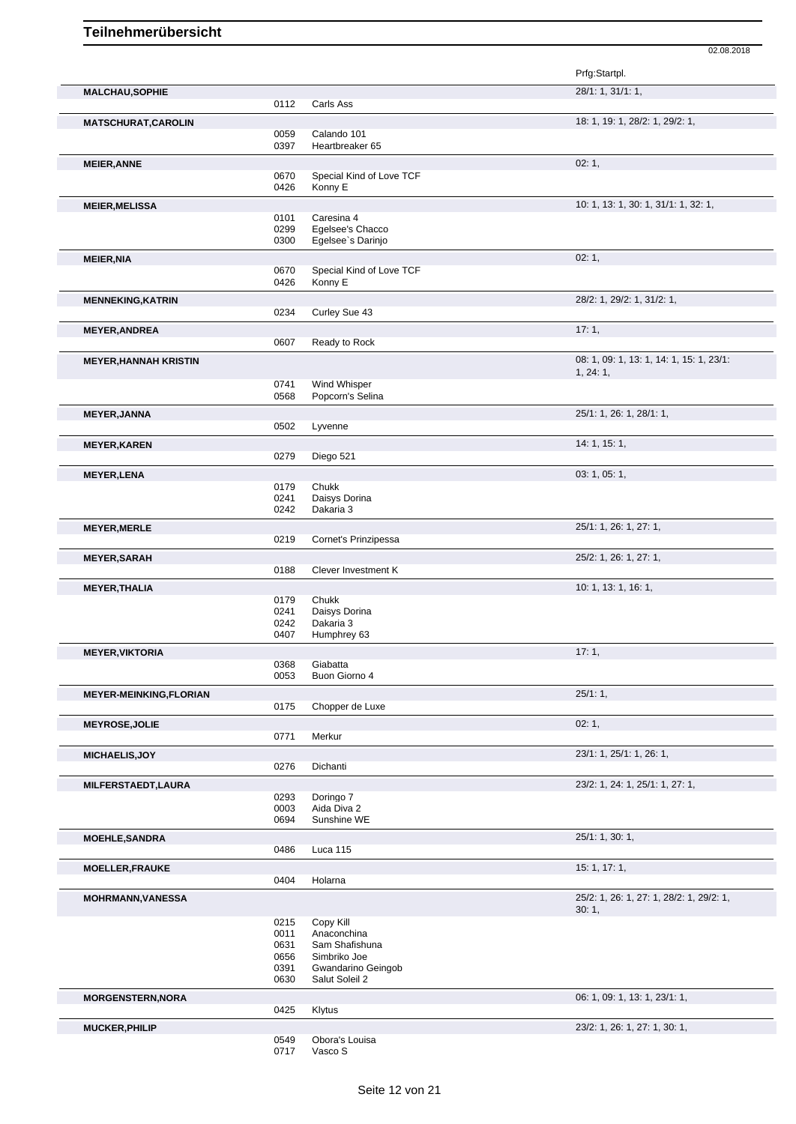|                               |              |                           | Prfg:Startpl.                            |
|-------------------------------|--------------|---------------------------|------------------------------------------|
| <b>MALCHAU, SOPHIE</b>        |              |                           | 28/1: 1, 31/1: 1,                        |
|                               | 0112         | Carls Ass                 |                                          |
| <b>MATSCHURAT, CAROLIN</b>    |              |                           | 18: 1, 19: 1, 28/2: 1, 29/2: 1,          |
|                               | 0059         | Calando 101               |                                          |
|                               | 0397         | Heartbreaker 65           |                                          |
| <b>MEIER, ANNE</b>            |              |                           | 02:1,                                    |
|                               | 0670         | Special Kind of Love TCF  |                                          |
|                               | 0426         | Konny E                   |                                          |
| <b>MEIER, MELISSA</b>         |              |                           | 10: 1, 13: 1, 30: 1, 31/1: 1, 32: 1,     |
|                               | 0101         | Caresina 4                |                                          |
|                               | 0299         | Egelsee's Chacco          |                                          |
|                               | 0300         | Egelsee's Darinjo         |                                          |
| <b>MEIER, NIA</b>             |              |                           | 02:1,                                    |
|                               | 0670         | Special Kind of Love TCF  |                                          |
|                               | 0426         | Konny E                   |                                          |
| <b>MENNEKING, KATRIN</b>      |              |                           | 28/2: 1, 29/2: 1, 31/2: 1,               |
|                               | 0234         | Curley Sue 43             |                                          |
| <b>MEYER, ANDREA</b>          |              |                           | 17:1,                                    |
|                               | 0607         | Ready to Rock             |                                          |
| <b>MEYER, HANNAH KRISTIN</b>  |              |                           | 08: 1, 09: 1, 13: 1, 14: 1, 15: 1, 23/1: |
|                               |              |                           | 1, 24: 1,                                |
|                               | 0741         | Wind Whisper              |                                          |
|                               | 0568         | Popcorn's Selina          |                                          |
| <b>MEYER, JANNA</b>           |              |                           | 25/1: 1, 26: 1, 28/1: 1,                 |
|                               | 0502         | Lyvenne                   |                                          |
| <b>MEYER, KAREN</b>           |              |                           | 14: 1, 15: 1,                            |
|                               | 0279         | Diego 521                 |                                          |
|                               |              |                           |                                          |
| <b>MEYER, LENA</b>            | 0179         | Chukk                     | 03: 1, 05: 1,                            |
|                               | 0241         | Daisys Dorina             |                                          |
|                               | 0242         | Dakaria 3                 |                                          |
|                               |              |                           |                                          |
| <b>MEYER, MERLE</b>           | 0219         | Cornet's Prinzipessa      | 25/1: 1, 26: 1, 27: 1,                   |
|                               |              |                           |                                          |
| <b>MEYER, SARAH</b>           |              |                           | 25/2: 1, 26: 1, 27: 1,                   |
|                               | 0188         | Clever Investment K       |                                          |
| <b>MEYER, THALIA</b>          |              |                           | 10: 1, 13: 1, 16: 1,                     |
|                               | 0179         | Chukk                     |                                          |
|                               | 0241         | Daisys Dorina             |                                          |
|                               | 0242<br>0407 | Dakaria 3<br>Humphrey 63  |                                          |
|                               |              |                           |                                          |
| <b>MEYER, VIKTORIA</b>        |              |                           | 17:1,                                    |
|                               | 0368<br>0053 | Giabatta<br>Buon Giorno 4 |                                          |
|                               |              |                           |                                          |
| <b>MEYER-MEINKING,FLORIAN</b> |              |                           | 25/1:1,                                  |
|                               | 0175         | Chopper de Luxe           |                                          |
| <b>MEYROSE, JOLIE</b>         |              |                           | 02:1,                                    |
|                               | 0771         | Merkur                    |                                          |
| MICHAELIS, JOY                |              |                           | 23/1: 1, 25/1: 1, 26: 1,                 |
|                               | 0276         | Dichanti                  |                                          |
| MILFERSTAEDT, LAURA           |              |                           | 23/2: 1, 24: 1, 25/1: 1, 27: 1,          |
|                               | 0293         | Doringo 7                 |                                          |
|                               | 0003         | Aida Diva 2               |                                          |
|                               | 0694         | Sunshine WE               |                                          |
| <b>MOEHLE, SANDRA</b>         |              |                           | 25/1: 1, 30: 1,                          |
|                               | 0486         | Luca 115                  |                                          |
|                               |              |                           | 15: 1, 17: 1,                            |
| <b>MOELLER, FRAUKE</b>        | 0404         | Holarna                   |                                          |
|                               |              |                           |                                          |
| <b>MOHRMANN, VANESSA</b>      |              |                           | 25/2: 1, 26: 1, 27: 1, 28/2: 1, 29/2: 1, |
|                               | 0215         | Copy Kill                 | 30:1,                                    |
|                               | 0011         | Anaconchina               |                                          |
|                               | 0631         | Sam Shafishuna            |                                          |
|                               | 0656         | Simbriko Joe              |                                          |
|                               | 0391         | Gwandarino Geingob        |                                          |
|                               | 0630         | Salut Soleil 2            |                                          |
| <b>MORGENSTERN, NORA</b>      |              |                           | 06: 1, 09: 1, 13: 1, 23/1: 1,            |
|                               | 0425         | Klytus                    |                                          |
| <b>MUCKER, PHILIP</b>         |              |                           | 23/2: 1, 26: 1, 27: 1, 30: 1,            |
|                               | 0549         | Obora's Louisa            |                                          |
|                               | 0717         | Vasco S                   |                                          |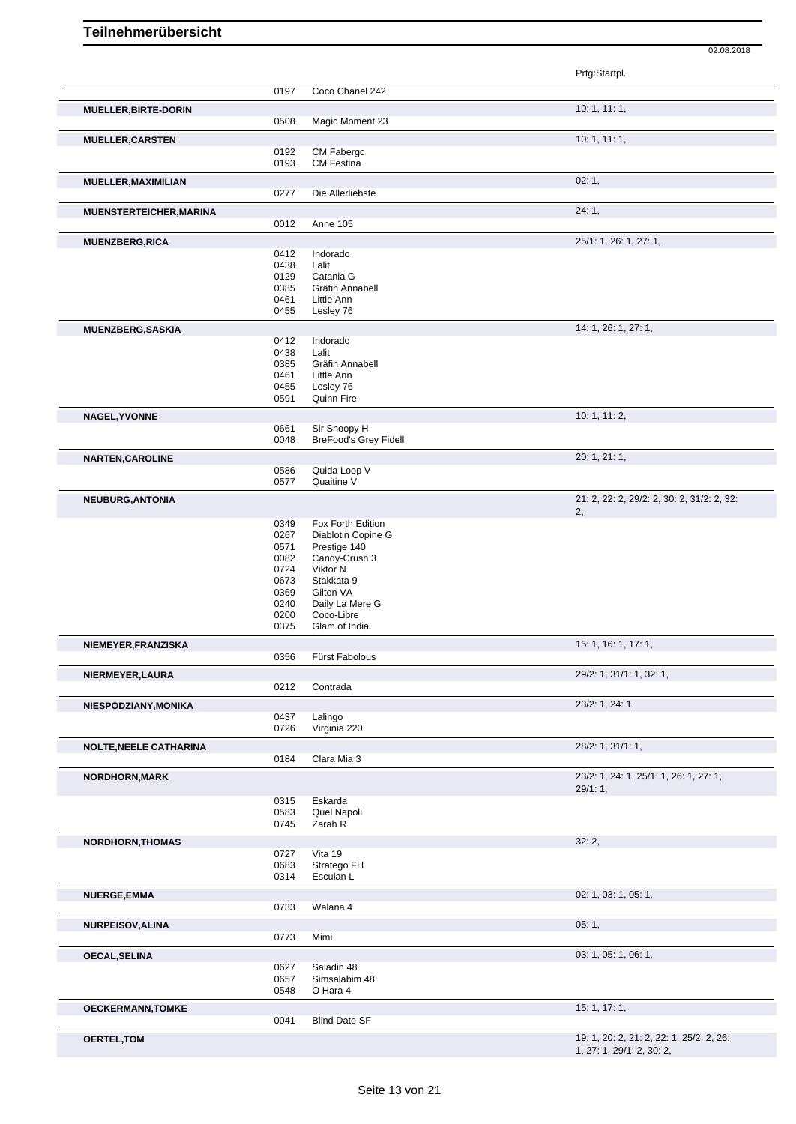Prfg:Startpl. 0197 Coco Chanel 242 **MUELLER,BIRTE-DORIN** 10: 1, 11: 1, 0508 Magic Moment 23 **MUELLER, CARSTEN** 10: 1, 11: 1, 0192 CM Fabergc 0193 CM Festina **MUELLER,MAXIMILIAN** 02: 1, 0277 Die Allerliebste **MUENSTERTEICHER,MARINA** 24: 1, 0012 Anne 105 **MUENZBERG,RICA** 25/1: 1, 26: 1, 27: 1, 0412 Indorado<br>0438 Lalit 0438<br>0129 0129 Catania G<br>0385 Gräfin Anr 0385 Gräfin Annabell<br>0461 Little Ann 0461 Little Ann<br>0455 Lesley 76 Lesley 76 **MUENZBERG,SASKIA** 14: 1, 26: 1, 27: 1,<br>
0412 Indorado Indorado<br>Lalit  $0438$ <br> $0385$ 0385 Gräfin Annabell<br>0461 Little Ann 0461 Little Ann<br>0455 Leslev 76 0455 Lesley 76<br>0591 Quinn Fire 0591 Quinn Fire **NAGEL,YVONNE** 10: 1, 11: 2, 0661 Sir Snoopy H<br>0048 BreFood's Gre BreFood's Grey Fidell **NARTEN,CAROLINE** 20: 1, 21: 1, 20: 20: 1, 21: 1, 0586 Quida Loop V<br>0577 Quaitine V Quaitine V **NEUBURG,ANTONIA** 21: 2, 22: 2, 29/2: 2, 30: 2, 31/2: 2, 32: 2, 0349 Fox Forth Edition<br>0267 Diablotin Copine 0267 Diablotin Copine G<br>0571 Prestige 140 0571 Prestige 140<br>0082 Candy-Crush 0082 Candy-Crush 3<br>0724 Viktor N 0724 Viktor N<br>0673 Stakkata 0673 Stakkata 9<br>0369 Gilton VA 0369 Gilton VA<br>0240 Daily La N 0240 Daily La Mere G<br>0200 Coco-Libre 0200 Coco-Libre<br>0375 Glam of Ind Glam of India **NIEMEYER,FRANZISKA** 15: 1, 16: 1, 17: 1, 0356 Fürst Fabolous **NIERMEYER,LAURA** 29/2: 1, 31/1: 1, 32: 1, Contrada **NIESPODZIANY,MONIKA** 23/2: 1, 24: 1, 0437 Lalingo<br>0726 Virginia Virginia 220 **NOLTE,NEELE CATHARINA** 28/2: 1, 31/1: 1, 0184 Clara Mia 3 **NORDHORN,MARK** 23/2: 1, 24: 1, 25/1: 1, 26: 1, 27: 1, 29/1: 1, 0315 Eskarda<br>0583 Quel Na 0583 Quel Napoli<br>0745 Zarah R Zarah R **NORDHORN,THOMAS** 32: 2,<br>
0727 Vita 19 0727 Vita 19<br>0683 Strateg 0683 Stratego FH<br>0314 Esculan L Esculan L **NUERGE,EMMA** 02: 1, 03: 1, 05: 1, 0733 Walana 4 **NURPEISOV,ALINA** 05: 1, 0773 Mimi Mimi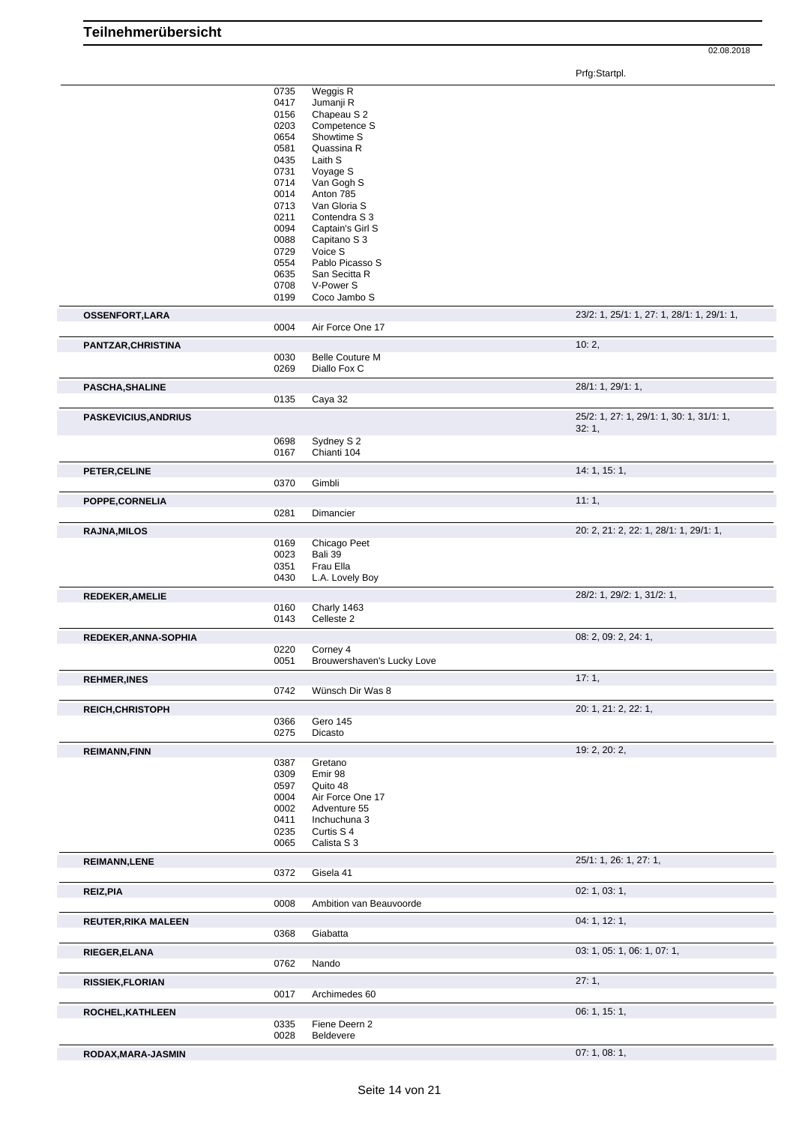Prfg:Startpl.

|                             | 0735<br>0417<br>0156<br>0203<br>0654<br>0581<br>0435<br>0731<br>0714<br>0014<br>0713<br>0211<br>0094<br>0088<br>0729<br>0554<br>0635<br>0708<br>0199 | Weggis R<br>Jumanji R<br>Chapeau S 2<br>Competence S<br>Showtime S<br>Quassina R<br>Laith S<br>Voyage S<br>Van Gogh S<br>Anton 785<br>Van Gloria S<br>Contendra S 3<br>Captain's Girl S<br>Capitano S 3<br>Voice S<br>Pablo Picasso S<br>San Secitta R<br>V-Power S<br>Coco Jambo S |                                            |
|-----------------------------|------------------------------------------------------------------------------------------------------------------------------------------------------|-------------------------------------------------------------------------------------------------------------------------------------------------------------------------------------------------------------------------------------------------------------------------------------|--------------------------------------------|
| <b>OSSENFORT, LARA</b>      |                                                                                                                                                      |                                                                                                                                                                                                                                                                                     | 23/2: 1, 25/1: 1, 27: 1, 28/1: 1, 29/1: 1, |
|                             | 0004                                                                                                                                                 | Air Force One 17                                                                                                                                                                                                                                                                    |                                            |
| PANTZAR, CHRISTINA          |                                                                                                                                                      |                                                                                                                                                                                                                                                                                     | 10:2,                                      |
|                             | 0030<br>0269                                                                                                                                         | <b>Belle Couture M</b><br>Diallo Fox C                                                                                                                                                                                                                                              |                                            |
|                             |                                                                                                                                                      |                                                                                                                                                                                                                                                                                     | 28/1: 1, 29/1: 1,                          |
| <b>PASCHA, SHALINE</b>      | 0135                                                                                                                                                 | Caya 32                                                                                                                                                                                                                                                                             |                                            |
| <b>PASKEVICIUS, ANDRIUS</b> |                                                                                                                                                      |                                                                                                                                                                                                                                                                                     | 25/2: 1, 27: 1, 29/1: 1, 30: 1, 31/1: 1,   |
|                             |                                                                                                                                                      |                                                                                                                                                                                                                                                                                     | 32:1,                                      |
|                             | 0698<br>0167                                                                                                                                         | Sydney S 2<br>Chianti 104                                                                                                                                                                                                                                                           |                                            |
| PETER, CELINE               |                                                                                                                                                      |                                                                                                                                                                                                                                                                                     | 14: 1, 15: 1,                              |
|                             | 0370                                                                                                                                                 | Gimbli                                                                                                                                                                                                                                                                              |                                            |
| POPPE, CORNELIA             |                                                                                                                                                      |                                                                                                                                                                                                                                                                                     | 11:1,                                      |
|                             | 0281                                                                                                                                                 | Dimancier                                                                                                                                                                                                                                                                           |                                            |
| <b>RAJNA, MILOS</b>         |                                                                                                                                                      |                                                                                                                                                                                                                                                                                     | 20: 2, 21: 2, 22: 1, 28/1: 1, 29/1: 1,     |
|                             | 0169<br>0023                                                                                                                                         | Chicago Peet<br>Bali 39                                                                                                                                                                                                                                                             |                                            |
|                             | 0351                                                                                                                                                 | Frau Ella                                                                                                                                                                                                                                                                           |                                            |
|                             | 0430                                                                                                                                                 | L.A. Lovely Boy                                                                                                                                                                                                                                                                     |                                            |
| <b>REDEKER, AMELIE</b>      |                                                                                                                                                      |                                                                                                                                                                                                                                                                                     | 28/2: 1, 29/2: 1, 31/2: 1,                 |
|                             | 0160<br>0143                                                                                                                                         | Charly 1463<br>Celleste 2                                                                                                                                                                                                                                                           |                                            |
| REDEKER, ANNA-SOPHIA        |                                                                                                                                                      |                                                                                                                                                                                                                                                                                     | 08: 2, 09: 2, 24: 1,                       |
|                             | 0220                                                                                                                                                 | Corney 4                                                                                                                                                                                                                                                                            |                                            |
|                             | 0051                                                                                                                                                 | Brouwershaven's Lucky Love                                                                                                                                                                                                                                                          |                                            |
| <b>REHMER, INES</b>         | 0742                                                                                                                                                 | Wünsch Dir Was 8                                                                                                                                                                                                                                                                    | 17:1,                                      |
| <b>REICH, CHRISTOPH</b>     |                                                                                                                                                      |                                                                                                                                                                                                                                                                                     | 20: 1, 21: 2, 22: 1,                       |
|                             | 0366                                                                                                                                                 | Gero 145                                                                                                                                                                                                                                                                            |                                            |
|                             | 0275                                                                                                                                                 | Dicasto                                                                                                                                                                                                                                                                             |                                            |
| <b>REIMANN, FINN</b>        |                                                                                                                                                      |                                                                                                                                                                                                                                                                                     | 19: 2, 20: 2,                              |
|                             | 0387<br>0309                                                                                                                                         | Gretano<br>Emir 98                                                                                                                                                                                                                                                                  |                                            |
|                             | 0597                                                                                                                                                 | Quito 48                                                                                                                                                                                                                                                                            |                                            |
|                             | 0004                                                                                                                                                 | Air Force One 17                                                                                                                                                                                                                                                                    |                                            |
|                             | 0002<br>0411                                                                                                                                         | Adventure 55<br>Inchuchuna 3                                                                                                                                                                                                                                                        |                                            |
|                             | 0235                                                                                                                                                 | Curtis S 4                                                                                                                                                                                                                                                                          |                                            |
|                             | 0065                                                                                                                                                 | Calista S 3                                                                                                                                                                                                                                                                         |                                            |
| <b>REIMANN, LENE</b>        | 0372                                                                                                                                                 | Gisela 41                                                                                                                                                                                                                                                                           | 25/1: 1, 26: 1, 27: 1,                     |
|                             |                                                                                                                                                      |                                                                                                                                                                                                                                                                                     | 02: 1, 03: 1,                              |
| REIZ, PIA                   | 0008                                                                                                                                                 | Ambition van Beauvoorde                                                                                                                                                                                                                                                             |                                            |
| <b>REUTER, RIKA MALEEN</b>  |                                                                                                                                                      |                                                                                                                                                                                                                                                                                     | 04: 1, 12: 1,                              |
|                             | 0368                                                                                                                                                 | Giabatta                                                                                                                                                                                                                                                                            |                                            |
| RIEGER, ELANA               |                                                                                                                                                      |                                                                                                                                                                                                                                                                                     | 03: 1, 05: 1, 06: 1, 07: 1,                |
|                             | 0762                                                                                                                                                 | Nando                                                                                                                                                                                                                                                                               |                                            |
| <b>RISSIEK, FLORIAN</b>     |                                                                                                                                                      |                                                                                                                                                                                                                                                                                     | 27:1,                                      |
|                             | 0017                                                                                                                                                 | Archimedes 60                                                                                                                                                                                                                                                                       |                                            |
| ROCHEL, KATHLEEN            | 0335                                                                                                                                                 | Fiene Deern 2                                                                                                                                                                                                                                                                       | 06: 1, 15: 1,                              |
|                             | 0028                                                                                                                                                 | Beldevere                                                                                                                                                                                                                                                                           |                                            |
| RODAX, MARA-JASMIN          |                                                                                                                                                      |                                                                                                                                                                                                                                                                                     | 07:1,08:1,                                 |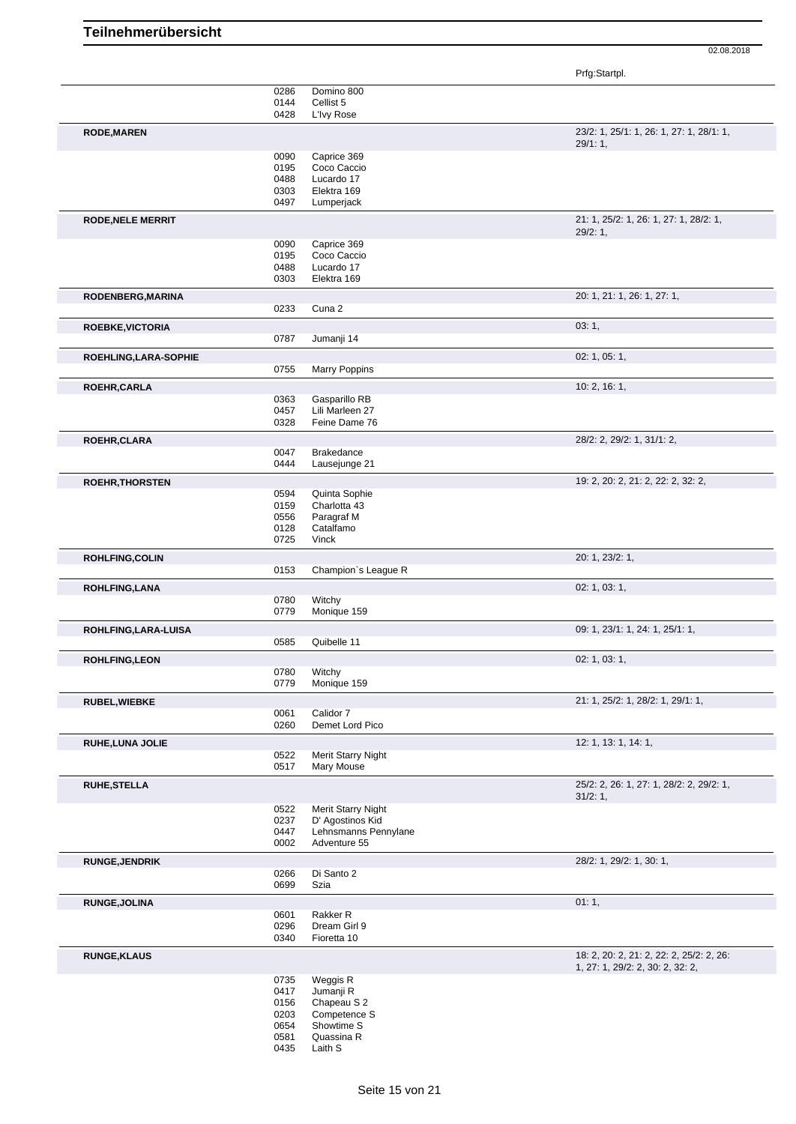|                          |              |                                        | Prfg:Startpl.                            |
|--------------------------|--------------|----------------------------------------|------------------------------------------|
|                          | 0286         | Domino 800                             |                                          |
|                          | 0144<br>0428 | Cellist 5<br>L'Ivy Rose                |                                          |
| <b>RODE, MAREN</b>       |              |                                        | 23/2: 1, 25/1: 1, 26: 1, 27: 1, 28/1: 1, |
|                          |              |                                        | 29/1:1,                                  |
|                          | 0090<br>0195 | Caprice 369<br>Coco Caccio             |                                          |
|                          | 0488         | Lucardo 17                             |                                          |
|                          | 0303         | Elektra 169                            |                                          |
|                          | 0497         | Lumperjack                             |                                          |
| <b>RODE, NELE MERRIT</b> |              |                                        | 21: 1, 25/2: 1, 26: 1, 27: 1, 28/2: 1,   |
|                          | 0090         | Caprice 369                            | 29/2:1,                                  |
|                          | 0195         | Coco Caccio                            |                                          |
|                          | 0488         | Lucardo 17                             |                                          |
|                          | 0303         | Elektra 169                            |                                          |
| RODENBERG, MARINA        | 0233         | Cuna 2                                 | 20: 1, 21: 1, 26: 1, 27: 1,              |
|                          |              |                                        |                                          |
| <b>ROEBKE, VICTORIA</b>  | 0787         | Jumanji 14                             | 03:1,                                    |
|                          |              |                                        | 02: 1, 05: 1,                            |
| ROEHLING, LARA-SOPHIE    | 0755         | <b>Marry Poppins</b>                   |                                          |
| ROEHR, CARLA             |              |                                        | 10: 2, 16: 1,                            |
|                          | 0363         | Gasparillo RB                          |                                          |
|                          | 0457         | Lili Marleen 27                        |                                          |
|                          | 0328         | Feine Dame 76                          |                                          |
| ROEHR, CLARA             |              |                                        | 28/2: 2, 29/2: 1, 31/1: 2,               |
|                          | 0047<br>0444 | <b>Brakedance</b><br>Lausejunge 21     |                                          |
|                          |              |                                        | 19: 2, 20: 2, 21: 2, 22: 2, 32: 2,       |
| <b>ROEHR, THORSTEN</b>   | 0594         | Quinta Sophie                          |                                          |
|                          | 0159         | Charlotta 43                           |                                          |
|                          | 0556         | Paragraf M                             |                                          |
|                          | 0128         | Catalfamo                              |                                          |
|                          | 0725         | Vinck                                  |                                          |
| ROHLFING, COLIN          | 0153         | Champion's League R                    | 20: 1, 23/2: 1,                          |
| <b>ROHLFING,LANA</b>     |              |                                        | 02: 1, 03: 1,                            |
|                          | 0780         | Witchy                                 |                                          |
|                          | 0779         | Monique 159                            |                                          |
| ROHLFING, LARA-LUISA     |              |                                        | 09: 1, 23/1: 1, 24: 1, 25/1: 1,          |
|                          | 0585         | Quibelle 11                            |                                          |
| <b>ROHLFING,LEON</b>     |              |                                        | 02: 1, 03: 1,                            |
|                          | 0780<br>0779 | Witchy                                 |                                          |
|                          |              | Monique 159                            |                                          |
| <b>RUBEL, WIEBKE</b>     | 0061         | Calidor 7                              | 21: 1, 25/2: 1, 28/2: 1, 29/1: 1,        |
|                          | 0260         | Demet Lord Pico                        |                                          |
| <b>RUHE, LUNA JOLIE</b>  |              |                                        | 12: 1, 13: 1, 14: 1,                     |
|                          | 0522         | Merit Starry Night                     |                                          |
|                          | 0517         | Mary Mouse                             |                                          |
| <b>RUHE, STELLA</b>      |              |                                        | 25/2: 2, 26: 1, 27: 1, 28/2: 2, 29/2: 1, |
|                          |              |                                        | 31/2:1,                                  |
|                          | 0522<br>0237 | Merit Starry Night<br>D' Agostinos Kid |                                          |
|                          | 0447         | Lehnsmanns Pennylane                   |                                          |
|                          | 0002         | Adventure 55                           |                                          |
| <b>RUNGE, JENDRIK</b>    |              |                                        | 28/2: 1, 29/2: 1, 30: 1,                 |
|                          | 0266         | Di Santo 2                             |                                          |
|                          | 0699         | Szia                                   |                                          |
| <b>RUNGE, JOLINA</b>     |              |                                        | 01:1,                                    |
|                          | 0601         | Rakker R                               |                                          |
|                          | 0296<br>0340 | Dream Girl 9<br>Fioretta 10            |                                          |
| <b>RUNGE, KLAUS</b>      |              |                                        | 18: 2, 20: 2, 21: 2, 22: 2, 25/2: 2, 26: |
|                          |              |                                        | 1, 27: 1, 29/2: 2, 30: 2, 32: 2,         |
|                          | 0735         | Weggis R                               |                                          |
|                          | 0417<br>0156 | Jumanji R<br>Chapeau S 2               |                                          |
|                          | 0203         | Competence S                           |                                          |
|                          | 0654         | Showtime S                             |                                          |
|                          | 0581         | Quassina R                             |                                          |
|                          | 0435         | Laith S                                |                                          |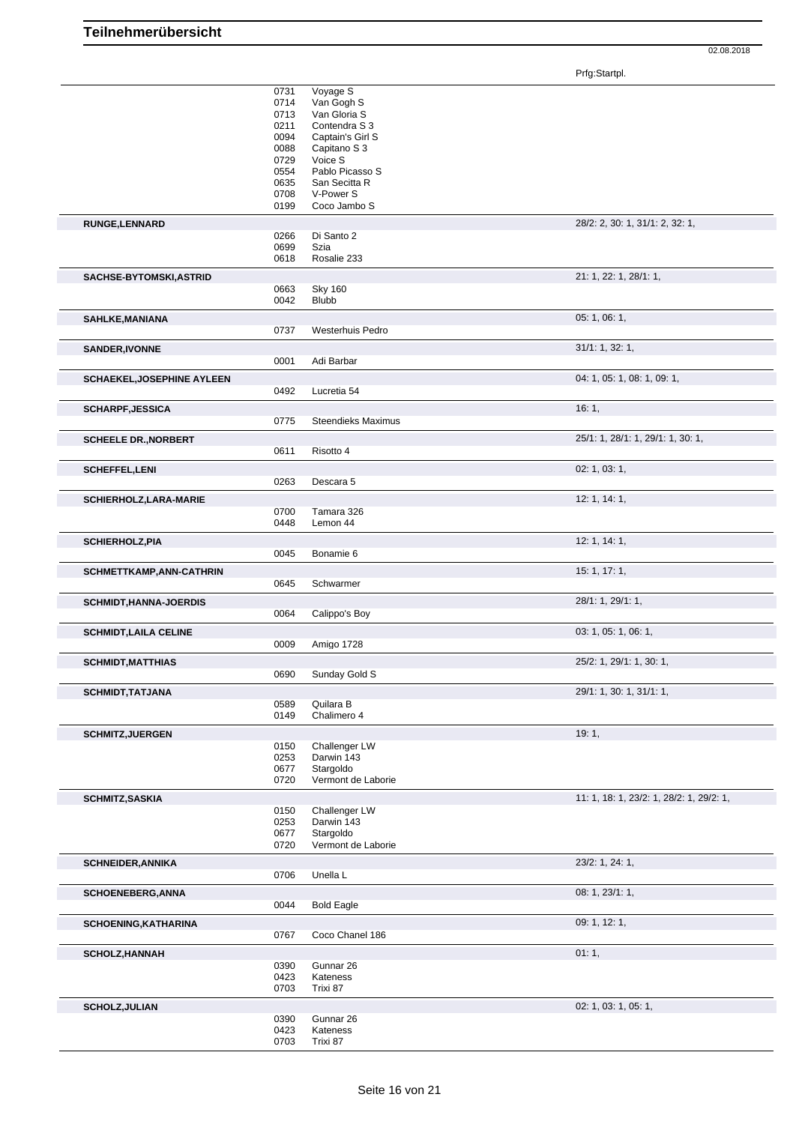Prfg:Startpl.

|                                   | 0731         | Voyage S                         |                                          |
|-----------------------------------|--------------|----------------------------------|------------------------------------------|
|                                   | 0714         | Van Gogh S                       |                                          |
|                                   | 0713         | Van Gloria S                     |                                          |
|                                   | 0211         | Contendra S 3                    |                                          |
|                                   | 0094         | Captain's Girl S                 |                                          |
|                                   | 0088         | Capitano S 3                     |                                          |
|                                   | 0729         | Voice S                          |                                          |
|                                   | 0554<br>0635 | Pablo Picasso S<br>San Secitta R |                                          |
|                                   | 0708         | V-Power S                        |                                          |
|                                   | 0199         | Coco Jambo S                     |                                          |
|                                   |              |                                  |                                          |
| <b>RUNGE,LENNARD</b>              |              |                                  | 28/2: 2, 30: 1, 31/1: 2, 32: 1,          |
|                                   | 0266         | Di Santo 2                       |                                          |
|                                   | 0699         | Szia                             |                                          |
|                                   | 0618         | Rosalie 233                      |                                          |
| SACHSE-BYTOMSKI, ASTRID           |              |                                  | 21: 1, 22: 1, 28/1: 1,                   |
|                                   | 0663         | <b>Sky 160</b>                   |                                          |
|                                   | 0042         | <b>Blubb</b>                     |                                          |
| SAHLKE, MANIANA                   |              |                                  | 05:1,06:1,                               |
|                                   | 0737         | Westerhuis Pedro                 |                                          |
|                                   |              |                                  |                                          |
| <b>SANDER, IVONNE</b>             |              |                                  | 31/1: 1, 32: 1,                          |
|                                   | 0001         | Adi Barbar                       |                                          |
| <b>SCHAEKEL, JOSEPHINE AYLEEN</b> |              |                                  | 04: 1, 05: 1, 08: 1, 09: 1,              |
|                                   | 0492         | Lucretia 54                      |                                          |
|                                   |              |                                  |                                          |
| <b>SCHARPF, JESSICA</b>           |              |                                  | 16:1,                                    |
|                                   | 0775         | <b>Steendieks Maximus</b>        |                                          |
| <b>SCHEELE DR., NORBERT</b>       |              |                                  | 25/1: 1, 28/1: 1, 29/1: 1, 30: 1,        |
|                                   | 0611         | Risotto 4                        |                                          |
|                                   |              |                                  | 02: 1, 03: 1,                            |
| <b>SCHEFFEL,LENI</b>              | 0263         | Descara 5                        |                                          |
|                                   |              |                                  |                                          |
| SCHIERHOLZ, LARA-MARIE            |              |                                  | 12: 1, 14: 1,                            |
|                                   | 0700         | Tamara 326                       |                                          |
|                                   | 0448         | Lemon 44                         |                                          |
| <b>SCHIERHOLZ, PIA</b>            |              |                                  | 12: 1, 14: 1,                            |
|                                   | 0045         | Bonamie 6                        |                                          |
|                                   |              |                                  |                                          |
|                                   |              |                                  | 15:1, 17:1,                              |
| SCHMETTKAMP, ANN-CATHRIN          |              |                                  |                                          |
|                                   | 0645         | Schwarmer                        |                                          |
| <b>SCHMIDT, HANNA-JOERDIS</b>     |              |                                  | 28/1: 1, 29/1: 1,                        |
|                                   | 0064         | Calippo's Boy                    |                                          |
|                                   |              |                                  |                                          |
| <b>SCHMIDT, LAILA CELINE</b>      |              |                                  | 03: 1, 05: 1, 06: 1,                     |
|                                   | 0009         | Amigo 1728                       |                                          |
| <b>SCHMIDT, MATTHIAS</b>          |              |                                  | 25/2: 1, 29/1: 1, 30: 1,                 |
|                                   | 0690         | Sunday Gold S                    |                                          |
| <b>SCHMIDT, TATJANA</b>           |              |                                  | 29/1: 1, 30: 1, 31/1: 1,                 |
|                                   | 0589         | Quilara B                        |                                          |
|                                   | 0149         | Chalimero 4                      |                                          |
|                                   |              |                                  |                                          |
| <b>SCHMITZ, JUERGEN</b>           |              |                                  | 19:1,                                    |
|                                   | 0150         | Challenger LW                    |                                          |
|                                   | 0253         | Darwin 143                       |                                          |
|                                   | 0677         | Stargoldo                        |                                          |
|                                   | 0720         | Vermont de Laborie               |                                          |
| <b>SCHMITZ, SASKIA</b>            |              |                                  | 11: 1, 18: 1, 23/2: 1, 28/2: 1, 29/2: 1, |
|                                   | 0150         | Challenger LW                    |                                          |
|                                   | 0253         | Darwin 143                       |                                          |
|                                   | 0677         | Stargoldo                        |                                          |
|                                   | 0720         | Vermont de Laborie               |                                          |
| <b>SCHNEIDER, ANNIKA</b>          |              |                                  | 23/2: 1, 24: 1,                          |
|                                   | 0706         | Unella L                         |                                          |
|                                   |              |                                  |                                          |
| <b>SCHOENEBERG, ANNA</b>          |              |                                  | 08: 1, 23/1: 1,                          |
|                                   | 0044         | <b>Bold Eagle</b>                |                                          |
| SCHOENING, KATHARINA              |              |                                  | 09: 1, 12: 1,                            |
|                                   | 0767         | Coco Chanel 186                  |                                          |
|                                   |              |                                  |                                          |
| <b>SCHOLZ, HANNAH</b>             |              |                                  | 01:1,                                    |
|                                   | 0390         | Gunnar 26                        |                                          |
|                                   | 0423         | Kateness                         |                                          |
|                                   | 0703         | Trixi 87                         |                                          |
| <b>SCHOLZ, JULIAN</b>             |              |                                  | 02: 1, 03: 1, 05: 1,                     |
|                                   | 0390         | Gunnar 26                        |                                          |
|                                   | 0423<br>0703 | Kateness<br>Trixi 87             |                                          |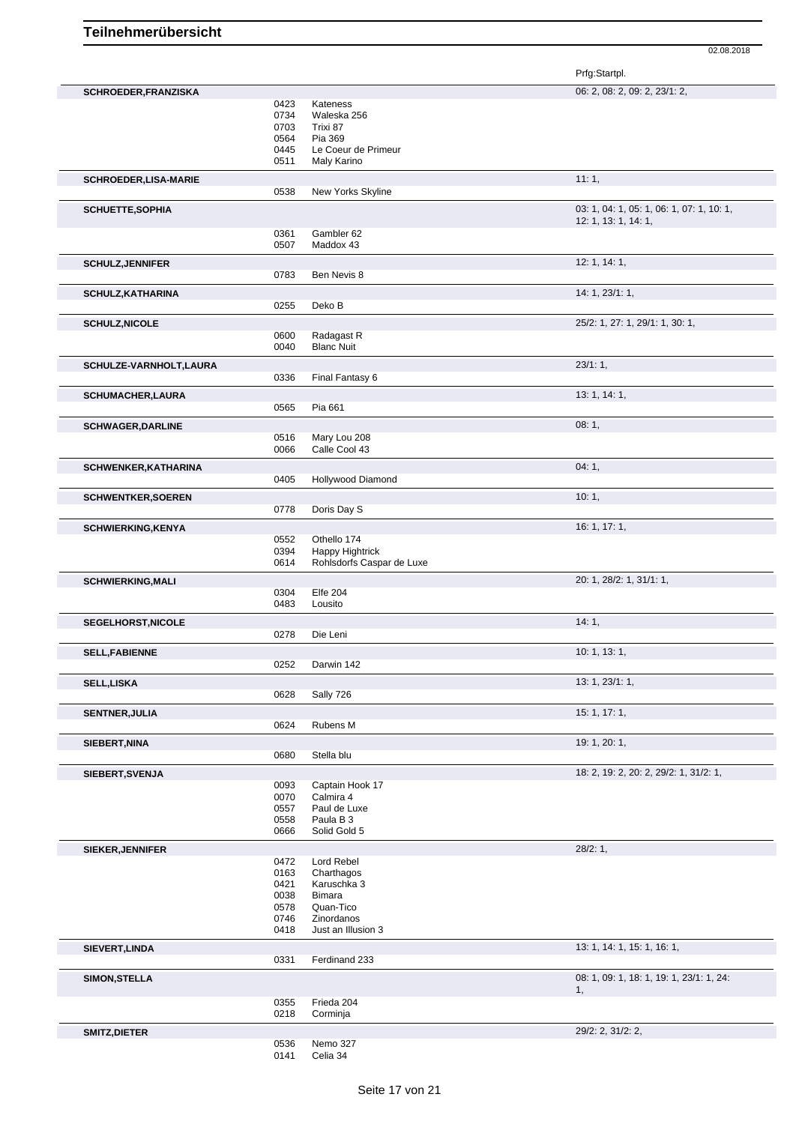Prfg:Startpl.

| SCHROEDER, FRANZISKA        |              |                               | 06: 2, 08: 2, 09: 2, 23/1: 2,                  |
|-----------------------------|--------------|-------------------------------|------------------------------------------------|
|                             | 0423         | Kateness                      |                                                |
|                             | 0734         |                               |                                                |
|                             |              | Waleska 256<br>Trixi 87       |                                                |
|                             | 0703         |                               |                                                |
|                             | 0564         | Pia 369                       |                                                |
|                             | 0445         | Le Coeur de Primeur           |                                                |
|                             | 0511         | Maly Karino                   |                                                |
| <b>SCHROEDER,LISA-MARIE</b> |              |                               | 11:1,                                          |
|                             | 0538         | New Yorks Skyline             |                                                |
| <b>SCHUETTE, SOPHIA</b>     |              |                               | 03: 1, 04: 1, 05: 1, 06: 1, 07: 1, 10: 1,      |
|                             | 0361         | Gambler 62                    | 12: 1, 13: 1, 14: 1,                           |
|                             | 0507         | Maddox 43                     |                                                |
| <b>SCHULZ, JENNIFER</b>     |              |                               | 12: 1, 14: 1,                                  |
|                             | 0783         | Ben Nevis 8                   |                                                |
| SCHULZ, KATHARINA           |              |                               | 14: 1, 23/1: 1,                                |
|                             | 0255         | Deko B                        |                                                |
| <b>SCHULZ, NICOLE</b>       |              |                               | 25/2: 1, 27: 1, 29/1: 1, 30: 1,                |
|                             | 0600         | Radagast R                    |                                                |
|                             | 0040         | <b>Blanc Nuit</b>             |                                                |
| SCHULZE-VARNHOLT, LAURA     |              |                               | 23/1:1,                                        |
|                             | 0336         | Final Fantasy 6               |                                                |
| <b>SCHUMACHER, LAURA</b>    |              |                               | 13: 1, 14: 1,                                  |
|                             | 0565         | Pia 661                       |                                                |
| <b>SCHWAGER, DARLINE</b>    |              |                               | 08:1,                                          |
|                             | 0516<br>0066 | Mary Lou 208<br>Calle Cool 43 |                                                |
|                             |              |                               | 04:1,                                          |
| <b>SCHWENKER, KATHARINA</b> | 0405         | Hollywood Diamond             |                                                |
| <b>SCHWENTKER, SOEREN</b>   |              |                               | 10:1,                                          |
|                             | 0778         | Doris Day S                   |                                                |
|                             |              |                               | 16: 1, 17: 1,                                  |
| <b>SCHWIERKING, KENYA</b>   | 0552         | Othello 174                   |                                                |
|                             | 0394         | <b>Happy Hightrick</b>        |                                                |
|                             | 0614         | Rohlsdorfs Caspar de Luxe     |                                                |
|                             |              |                               |                                                |
| <b>SCHWIERKING, MALI</b>    |              |                               | 20: 1, 28/2: 1, 31/1: 1,                       |
|                             | 0304<br>0483 | <b>Elfe 204</b><br>Lousito    |                                                |
|                             |              |                               |                                                |
| SEGELHORST, NICOLE          | 0278         | Die Leni                      | 14:1,                                          |
|                             |              |                               | 10: 1, 13: 1,                                  |
| <b>SELL, FABIENNE</b>       | 0252         | Darwin 142                    |                                                |
|                             |              |                               |                                                |
| SELL,LISKA                  | 0628         | Sally 726                     | 13: 1, 23/1: 1,                                |
| <b>SENTNER, JULIA</b>       |              |                               | 15: 1, 17: 1,                                  |
|                             | 0624         | Rubens M                      |                                                |
| SIEBERT, NINA               |              |                               | 19: 1, 20: 1,                                  |
|                             | 0680         | Stella blu                    |                                                |
| SIEBERT, SVENJA             |              |                               | 18: 2, 19: 2, 20: 2, 29/2: 1, 31/2: 1,         |
|                             | 0093         | Captain Hook 17               |                                                |
|                             | 0070         | Calmira 4                     |                                                |
|                             | 0557         | Paul de Luxe                  |                                                |
|                             | 0558         | Paula B 3                     |                                                |
|                             | 0666         | Solid Gold 5                  |                                                |
| SIEKER, JENNIFER            |              |                               | 28/2:1,                                        |
|                             | 0472         | Lord Rebel                    |                                                |
|                             | 0163         | Charthagos                    |                                                |
|                             |              |                               |                                                |
|                             | 0421         | Karuschka 3                   |                                                |
|                             | 0038         | <b>Bimara</b>                 |                                                |
|                             | 0578         | Quan-Tico                     |                                                |
|                             | 0746         | Zinordanos                    |                                                |
|                             | 0418         | Just an Illusion 3            |                                                |
| SIEVERT, LINDA              | 0331         | Ferdinand 233                 | 13: 1, 14: 1, 15: 1, 16: 1,                    |
|                             |              |                               |                                                |
| <b>SIMON, STELLA</b>        |              |                               | 08: 1, 09: 1, 18: 1, 19: 1, 23/1: 1, 24:<br>1, |
|                             | 0355         | Frieda 204                    |                                                |
|                             | 0218         | Corminja                      |                                                |
| SMITZ, DIETER               |              |                               | 29/2: 2, 31/2: 2,                              |
|                             | 0536<br>0141 | Nemo 327                      |                                                |
|                             |              | Celia 34                      |                                                |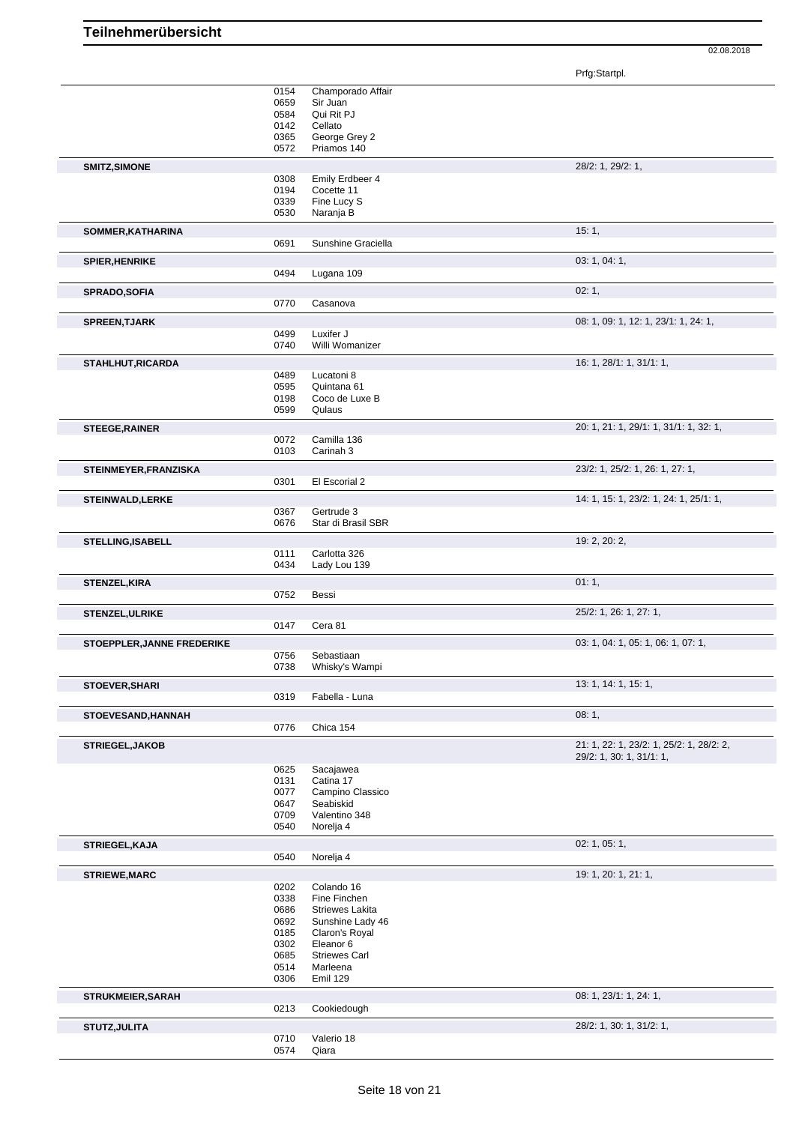Prfg:Startpl.

|                                                                                     | 0154         | Champorado Affair        |                                          |
|-------------------------------------------------------------------------------------|--------------|--------------------------|------------------------------------------|
|                                                                                     | 0659         | Sir Juan                 |                                          |
|                                                                                     | 0584         | Qui Rit PJ               |                                          |
|                                                                                     | 0142         | Cellato                  |                                          |
|                                                                                     | 0365         | George Grey 2            |                                          |
|                                                                                     | 0572         | Priamos 140              |                                          |
| SMITZ, SIMONE                                                                       |              |                          | 28/2: 1, 29/2: 1,                        |
|                                                                                     | 0308         | Emily Erdbeer 4          |                                          |
|                                                                                     | 0194         | Cocette 11               |                                          |
|                                                                                     | 0339         | Fine Lucy S              |                                          |
|                                                                                     | 0530         | Naranja B                |                                          |
| SOMMER, KATHARINA                                                                   |              |                          | 15:1,                                    |
|                                                                                     | 0691         | Sunshine Graciella       |                                          |
| <b>SPIER, HENRIKE</b>                                                               |              |                          | 03: 1, 04: 1,                            |
|                                                                                     | 0494         | Lugana 109               |                                          |
|                                                                                     |              |                          |                                          |
| <b>SPRADO, SOFIA</b>                                                                | 0770         | Casanova                 | 02:1,                                    |
|                                                                                     |              |                          |                                          |
| <b>SPREEN, TJARK</b>                                                                |              |                          | 08: 1, 09: 1, 12: 1, 23/1: 1, 24: 1,     |
|                                                                                     | 0499         | Luxifer J                |                                          |
|                                                                                     | 0740         | Willi Womanizer          |                                          |
| STAHLHUT, RICARDA                                                                   |              |                          | 16: 1, 28/1: 1, 31/1: 1,                 |
|                                                                                     | 0489         | Lucatoni 8               |                                          |
|                                                                                     | 0595         | Quintana 61              |                                          |
|                                                                                     | 0198<br>0599 | Coco de Luxe B<br>Qulaus |                                          |
|                                                                                     |              |                          |                                          |
| <b>STEEGE, RAINER</b>                                                               |              |                          | 20: 1, 21: 1, 29/1: 1, 31/1: 1, 32: 1,   |
|                                                                                     | 0072         | Camilla 136              |                                          |
|                                                                                     | 0103         | Carinah 3                |                                          |
| STEINMEYER, FRANZISKA                                                               |              |                          | 23/2: 1, 25/2: 1, 26: 1, 27: 1,          |
|                                                                                     | 0301         | El Escorial 2            |                                          |
| <b>STEINWALD, LERKE</b>                                                             |              |                          | 14: 1, 15: 1, 23/2: 1, 24: 1, 25/1: 1,   |
|                                                                                     | 0367         | Gertrude 3               |                                          |
|                                                                                     | 0676         | Star di Brasil SBR       |                                          |
| <b>STELLING, ISABELL</b>                                                            |              |                          | 19: 2, 20: 2,                            |
|                                                                                     | 0111         | Carlotta 326             |                                          |
|                                                                                     | 0434         | Lady Lou 139             |                                          |
|                                                                                     |              |                          | 01:1,                                    |
| <b>STENZEL, KIRA</b>                                                                | 0752         | Bessi                    |                                          |
|                                                                                     |              |                          |                                          |
| <b>STENZEL, ULRIKE</b>                                                              |              |                          | 25/2: 1, 26: 1, 27: 1,                   |
|                                                                                     | 0147         | Cera 81                  |                                          |
| STOEPPLER, JANNE FREDERIKE                                                          |              |                          | 03: 1, 04: 1, 05: 1, 06: 1, 07: 1,       |
|                                                                                     | 0756         | Sebastiaan               |                                          |
|                                                                                     | 0738         | Whisky's Wampi           |                                          |
| STOEVER, SHARI                                                                      |              |                          | 13: 1, 14: 1, 15: 1,                     |
|                                                                                     | 0319         | Fabella - Luna           |                                          |
| STOEVESAND, HANNAH                                                                  |              |                          | 08:1,                                    |
|                                                                                     | 0776         | Chica 154                |                                          |
| STRIEGEL, JAKOB                                                                     |              |                          | 21: 1, 22: 1, 23/2: 1, 25/2: 1, 28/2: 2, |
|                                                                                     |              |                          | 29/2: 1, 30: 1, 31/1: 1,                 |
|                                                                                     |              | Sacajawea                |                                          |
|                                                                                     |              |                          |                                          |
|                                                                                     | 0625<br>0131 | Catina 17                |                                          |
|                                                                                     | 0077         | Campino Classico         |                                          |
|                                                                                     | 0647         | Seabiskid                |                                          |
|                                                                                     | 0709         | Valentino 348            |                                          |
|                                                                                     | 0540         | Norelja 4                |                                          |
|                                                                                     |              |                          | 02: 1, 05: 1,                            |
|                                                                                     | 0540         | Norelja 4                |                                          |
|                                                                                     |              |                          | 19: 1, 20: 1, 21: 1,                     |
|                                                                                     | 0202         | Colando 16               |                                          |
|                                                                                     | 0338         | Fine Finchen             |                                          |
|                                                                                     | 0686         | Striewes Lakita          |                                          |
|                                                                                     | 0692         | Sunshine Lady 46         |                                          |
|                                                                                     | 0185         | Claron's Royal           |                                          |
|                                                                                     | 0302         | Eleanor 6                |                                          |
|                                                                                     | 0685         | <b>Striewes Carl</b>     |                                          |
|                                                                                     | 0514         | Marleena                 |                                          |
|                                                                                     | 0306         | Emil 129                 |                                          |
|                                                                                     |              |                          | 08: 1, 23/1: 1, 24: 1,                   |
|                                                                                     | 0213         | Cookiedough              |                                          |
|                                                                                     |              |                          | 28/2: 1, 30: 1, 31/2: 1,                 |
| STRIEGEL, KAJA<br><b>STRIEWE, MARC</b><br><b>STRUKMEIER, SARAH</b><br>STUTZ, JULITA | 0710<br>0574 | Valerio 18<br>Qiara      |                                          |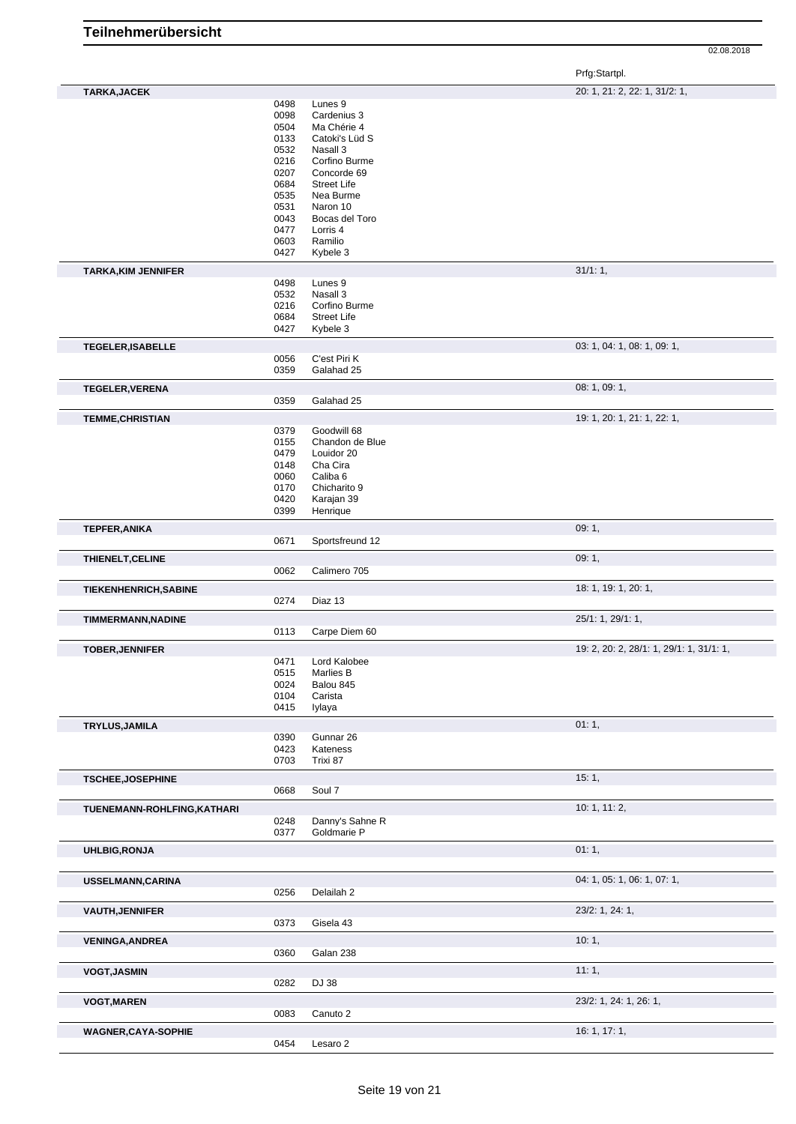Prfg:Startpl.

| TARKA, JACEK                 |              |                            | 20: 1, 21: 2, 22: 1, 31/2: 1,            |
|------------------------------|--------------|----------------------------|------------------------------------------|
|                              | 0498         | Lunes 9                    |                                          |
|                              | 0098         | Cardenius 3                |                                          |
|                              | 0504         | Ma Chérie 4                |                                          |
|                              | 0133<br>0532 | Catoki's Lüd S<br>Nasall 3 |                                          |
|                              | 0216         | Corfino Burme              |                                          |
|                              | 0207         | Concorde 69                |                                          |
|                              | 0684         | <b>Street Life</b>         |                                          |
|                              | 0535         | Nea Burme                  |                                          |
|                              | 0531         | Naron 10                   |                                          |
|                              | 0043         | Bocas del Toro             |                                          |
|                              | 0477         | Lorris 4                   |                                          |
|                              | 0603         | Ramilio                    |                                          |
|                              | 0427         | Kybele 3                   |                                          |
| <b>TARKA, KIM JENNIFER</b>   |              |                            | 31/1:1,                                  |
|                              | 0498<br>0532 | Lunes <sub>9</sub>         |                                          |
|                              | 0216         | Nasall 3<br>Corfino Burme  |                                          |
|                              | 0684         | <b>Street Life</b>         |                                          |
|                              | 0427         | Kybele 3                   |                                          |
| TEGELER, ISABELLE            |              |                            | 03: 1, 04: 1, 08: 1, 09: 1,              |
|                              | 0056         | C'est Piri K               |                                          |
|                              | 0359         | Galahad 25                 |                                          |
| <b>TEGELER, VERENA</b>       |              |                            | 08: 1, 09: 1,                            |
|                              | 0359         | Galahad 25                 |                                          |
| <b>TEMME, CHRISTIAN</b>      |              |                            | 19: 1, 20: 1, 21: 1, 22: 1,              |
|                              | 0379         | Goodwill 68                |                                          |
|                              | 0155         | Chandon de Blue            |                                          |
|                              | 0479         | Louidor 20                 |                                          |
|                              | 0148         | Cha Cira                   |                                          |
|                              | 0060         | Caliba <sub>6</sub>        |                                          |
|                              | 0170         | Chicharito 9               |                                          |
|                              | 0420         | Karajan 39                 |                                          |
|                              | 0399         | Henrique                   |                                          |
| <b>TEPFER, ANIKA</b>         |              |                            | 09:1,                                    |
|                              | 0671         | Sportsfreund 12            |                                          |
| THIENELT, CELINE             |              |                            | 09:1,                                    |
|                              | 0062         | Calimero 705               |                                          |
| <b>TIEKENHENRICH, SABINE</b> |              |                            | 18: 1, 19: 1, 20: 1,                     |
|                              | 0274         | Diaz 13                    |                                          |
| <b>TIMMERMANN, NADINE</b>    |              |                            | 25/1: 1, 29/1: 1,                        |
|                              | 0113         | Carpe Diem 60              |                                          |
| <b>TOBER, JENNIFER</b>       |              |                            | 19: 2, 20: 2, 28/1: 1, 29/1: 1, 31/1: 1, |
|                              | 0471         | Lord Kalobee               |                                          |
|                              | 0515         | <b>Marlies B</b>           |                                          |
|                              | 0024         | Balou 845                  |                                          |
|                              | 0104<br>0415 | Carista<br>lylaya          |                                          |
|                              |              |                            |                                          |
| TRYLUS, JAMILA               | 0390         | Gunnar 26                  | 01:1,                                    |
|                              | 0423         | Kateness                   |                                          |
|                              | 0703         | Trixi 87                   |                                          |
| <b>TSCHEE, JOSEPHINE</b>     |              |                            | 15:1,                                    |
|                              | 0668         | Soul 7                     |                                          |
| TUENEMANN-ROHLFING, KATHARI  |              |                            | 10: 1, 11: 2,                            |
|                              | 0248         | Danny's Sahne R            |                                          |
|                              | 0377         | Goldmarie P                |                                          |
| <b>UHLBIG, RONJA</b>         |              |                            | 01:1,                                    |
|                              |              |                            |                                          |
| USSELMANN, CARINA            |              |                            | 04: 1, 05: 1, 06: 1, 07: 1,              |
|                              | 0256         | Delailah 2                 |                                          |
| <b>VAUTH, JENNIFER</b>       |              |                            | 23/2: 1, 24: 1,                          |
|                              | 0373         | Gisela 43                  |                                          |
| <b>VENINGA, ANDREA</b>       |              |                            | 10:1,                                    |
|                              | 0360         | Galan 238                  |                                          |
| <b>VOGT, JASMIN</b>          |              |                            | 11:1,                                    |
|                              | 0282         | DJ 38                      |                                          |
| <b>VOGT, MAREN</b>           |              |                            | 23/2: 1, 24: 1, 26: 1,                   |
|                              | 0083         | Canuto 2                   |                                          |
|                              |              |                            |                                          |
| <b>WAGNER,CAYA-SOPHIE</b>    |              |                            | 16: 1, 17: 1,                            |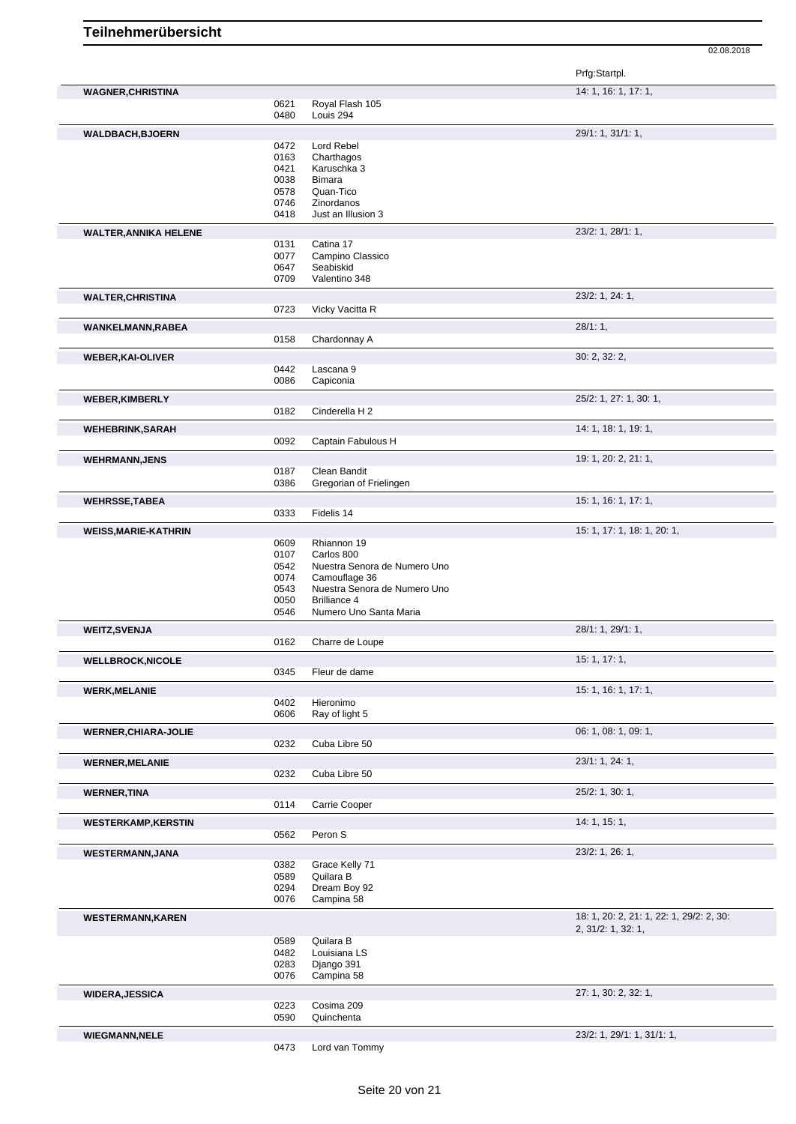|                              |              |                                               | Prfg:Startpl.                            |
|------------------------------|--------------|-----------------------------------------------|------------------------------------------|
| <b>WAGNER, CHRISTINA</b>     |              |                                               | 14: 1, 16: 1, 17: 1,                     |
|                              | 0621<br>0480 | Royal Flash 105<br>Louis 294                  |                                          |
| <b>WALDBACH,BJOERN</b>       |              |                                               | 29/1: 1, 31/1: 1,                        |
|                              | 0472         | Lord Rebel                                    |                                          |
|                              | 0163         | Charthagos                                    |                                          |
|                              | 0421         | Karuschka 3                                   |                                          |
|                              | 0038         | <b>Bimara</b>                                 |                                          |
|                              | 0578         | Quan-Tico                                     |                                          |
|                              | 0746         | Zinordanos                                    |                                          |
|                              | 0418         | Just an Illusion 3                            |                                          |
| <b>WALTER, ANNIKA HELENE</b> |              |                                               | 23/2: 1, 28/1: 1,                        |
|                              | 0131         | Catina 17                                     |                                          |
|                              | 0077         | Campino Classico                              |                                          |
|                              | 0647         | Seabiskid                                     |                                          |
|                              | 0709         | Valentino 348                                 |                                          |
| <b>WALTER, CHRISTINA</b>     |              |                                               | 23/2: 1, 24: 1,                          |
|                              | 0723         | Vicky Vacitta R                               |                                          |
| <b>WANKELMANN,RABEA</b>      |              |                                               | 28/1:1,                                  |
|                              | 0158         | Chardonnay A                                  |                                          |
| <b>WEBER, KAI-OLIVER</b>     |              |                                               | 30: 2, 32: 2,                            |
|                              | 0442         | Lascana 9                                     |                                          |
|                              | 0086         | Capiconia                                     |                                          |
| <b>WEBER, KIMBERLY</b>       |              |                                               | 25/2: 1, 27: 1, 30: 1,                   |
|                              | 0182         | Cinderella H 2                                |                                          |
| <b>WEHEBRINK, SARAH</b>      |              |                                               | 14: 1, 18: 1, 19: 1,                     |
|                              | 0092         | Captain Fabulous H                            |                                          |
| <b>WEHRMANN, JENS</b>        |              |                                               | 19: 1, 20: 2, 21: 1,                     |
|                              | 0187         | Clean Bandit                                  |                                          |
|                              | 0386         | Gregorian of Frielingen                       |                                          |
| <b>WEHRSSE,TABEA</b>         |              |                                               | 15: 1, 16: 1, 17: 1,                     |
|                              | 0333         | Fidelis 14                                    |                                          |
| <b>WEISS, MARIE-KATHRIN</b>  |              |                                               | 15: 1, 17: 1, 18: 1, 20: 1,              |
|                              | 0609         | Rhiannon 19                                   |                                          |
|                              | 0107         | Carlos 800                                    |                                          |
|                              | 0542         | Nuestra Senora de Numero Uno<br>Camouflage 36 |                                          |
|                              | 0074<br>0543 | Nuestra Senora de Numero Uno                  |                                          |
|                              | 0050         | <b>Brilliance 4</b>                           |                                          |
|                              | 0546         | Numero Uno Santa Maria                        |                                          |
| <b>WEITZ, SVENJA</b>         |              |                                               | 28/1: 1, 29/1: 1,                        |
|                              | 0162         | Charre de Loupe                               |                                          |
| <b>WELLBROCK, NICOLE</b>     |              |                                               | 15: 1, 17: 1,                            |
|                              | 0345         | Fleur de dame                                 |                                          |
|                              |              |                                               | 15: 1, 16: 1, 17: 1,                     |
| <b>WERK, MELANIE</b>         | 0402         | Hieronimo                                     |                                          |
|                              | 0606         | Ray of light 5                                |                                          |
| <b>WERNER, CHIARA-JOLIE</b>  |              |                                               | 06: 1, 08: 1, 09: 1,                     |
|                              | 0232         | Cuba Libre 50                                 |                                          |
| <b>WERNER, MELANIE</b>       |              |                                               | 23/1: 1, 24: 1,                          |
|                              | 0232         | Cuba Libre 50                                 |                                          |
| <b>WERNER, TINA</b>          |              |                                               | 25/2: 1, 30: 1,                          |
|                              | 0114         | Carrie Cooper                                 |                                          |
| <b>WESTERKAMP, KERSTIN</b>   |              |                                               | 14: 1, 15: 1,                            |
|                              | 0562         | Peron S                                       |                                          |
| <b>WESTERMANN, JANA</b>      |              |                                               | 23/2: 1, 26: 1,                          |
|                              | 0382         | Grace Kelly 71                                |                                          |
|                              | 0589         | Quilara B                                     |                                          |
|                              | 0294         | Dream Boy 92                                  |                                          |
|                              | 0076         | Campina 58                                    |                                          |
| <b>WESTERMANN, KAREN</b>     |              |                                               | 18: 1, 20: 2, 21: 1, 22: 1, 29/2: 2, 30: |
|                              | 0589         | Quilara B                                     | 2, 31/2: 1, 32: 1,                       |
|                              | 0482         | Louisiana LS                                  |                                          |
|                              | 0283         | Django 391                                    |                                          |
|                              | 0076         | Campina 58                                    |                                          |
| <b>WIDERA, JESSICA</b>       |              |                                               | 27: 1, 30: 2, 32: 1,                     |
|                              | 0223         | Cosima 209                                    |                                          |
|                              | 0590         | Quinchenta                                    |                                          |
| <b>WIEGMANN, NELE</b>        |              |                                               | 23/2: 1, 29/1: 1, 31/1: 1,               |
|                              | 0473         | Lord van Tommy                                |                                          |